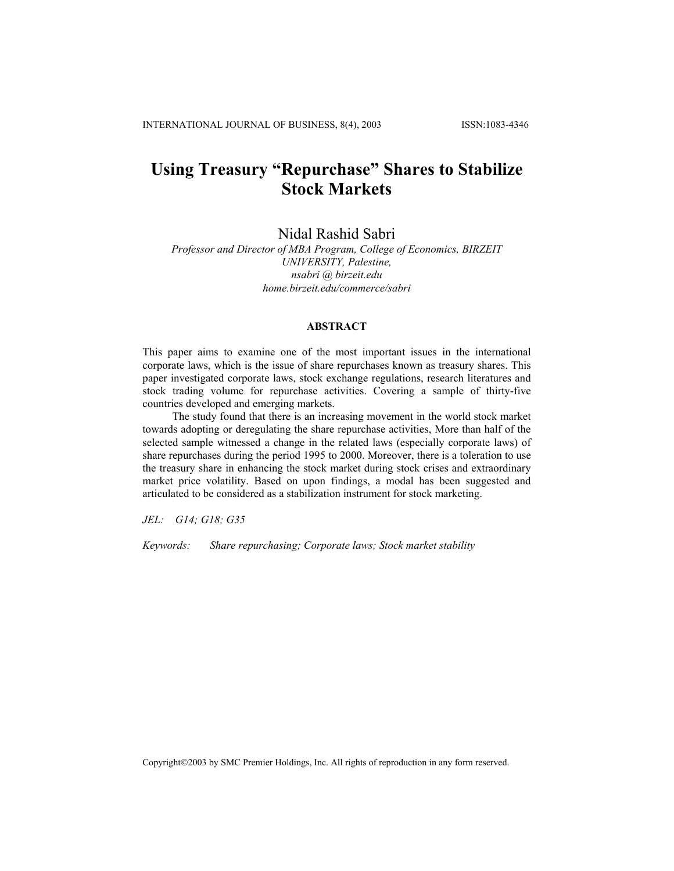# **Using Treasury "Repurchase" Shares to Stabilize Stock Markets**

Nidal Rashid Sabri

*Professor and Director of MBA Program, College of Economics, BIRZEIT UNIVERSITY, Palestine, nsabri @ birzeit.edu home.birzeit.edu/commerce/sabri*

# **ABSTRACT**

This paper aims to examine one of the most important issues in the international corporate laws, which is the issue of share repurchases known as treasury shares. This paper investigated corporate laws, stock exchange regulations, research literatures and stock trading volume for repurchase activities. Covering a sample of thirty-five countries developed and emerging markets.

The study found that there is an increasing movement in the world stock market towards adopting or deregulating the share repurchase activities, More than half of the selected sample witnessed a change in the related laws (especially corporate laws) of share repurchases during the period 1995 to 2000. Moreover, there is a toleration to use the treasury share in enhancing the stock market during stock crises and extraordinary market price volatility. Based on upon findings, a modal has been suggested and articulated to be considered as a stabilization instrument for stock marketing.

*JEL: G14; G18; G35* 

*Keywords: Share repurchasing; Corporate laws; Stock market stability* 

Copyright©2003 by SMC Premier Holdings, Inc. All rights of reproduction in any form reserved.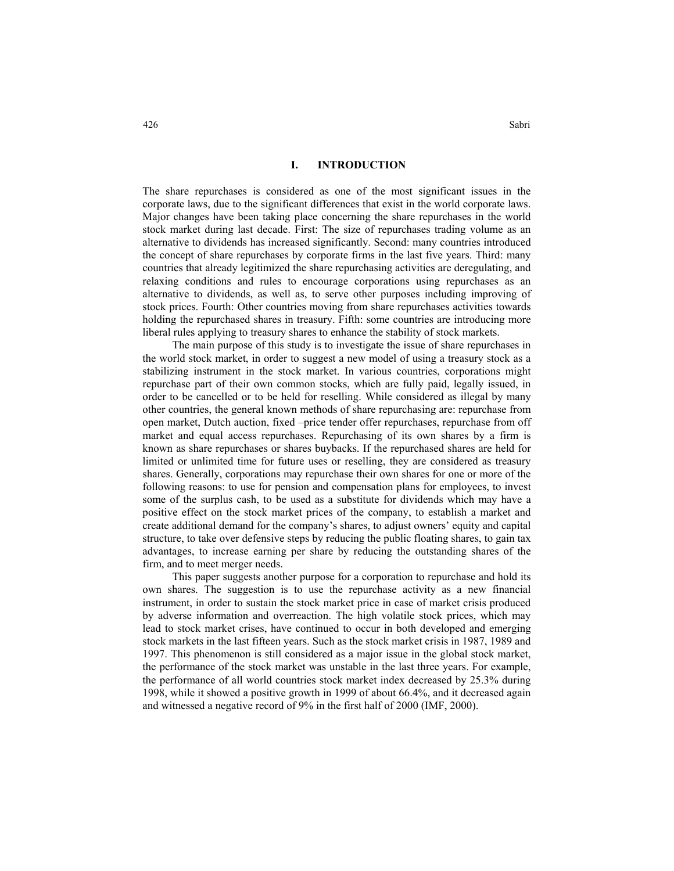#### **I. INTRODUCTION**

The share repurchases is considered as one of the most significant issues in the corporate laws, due to the significant differences that exist in the world corporate laws. Major changes have been taking place concerning the share repurchases in the world stock market during last decade. First: The size of repurchases trading volume as an alternative to dividends has increased significantly. Second: many countries introduced the concept of share repurchases by corporate firms in the last five years. Third: many countries that already legitimized the share repurchasing activities are deregulating, and relaxing conditions and rules to encourage corporations using repurchases as an alternative to dividends, as well as, to serve other purposes including improving of stock prices. Fourth: Other countries moving from share repurchases activities towards holding the repurchased shares in treasury. Fifth: some countries are introducing more liberal rules applying to treasury shares to enhance the stability of stock markets.

 The main purpose of this study is to investigate the issue of share repurchases in the world stock market, in order to suggest a new model of using a treasury stock as a stabilizing instrument in the stock market. In various countries, corporations might repurchase part of their own common stocks, which are fully paid, legally issued, in order to be cancelled or to be held for reselling. While considered as illegal by many other countries, the general known methods of share repurchasing are: repurchase from open market, Dutch auction, fixed –price tender offer repurchases, repurchase from off market and equal access repurchases. Repurchasing of its own shares by a firm is known as share repurchases or shares buybacks. If the repurchased shares are held for limited or unlimited time for future uses or reselling, they are considered as treasury shares. Generally, corporations may repurchase their own shares for one or more of the following reasons: to use for pension and compensation plans for employees, to invest some of the surplus cash, to be used as a substitute for dividends which may have a positive effect on the stock market prices of the company, to establish a market and create additional demand for the company's shares, to adjust owners' equity and capital structure, to take over defensive steps by reducing the public floating shares, to gain tax advantages, to increase earning per share by reducing the outstanding shares of the firm, and to meet merger needs.

 This paper suggests another purpose for a corporation to repurchase and hold its own shares. The suggestion is to use the repurchase activity as a new financial instrument, in order to sustain the stock market price in case of market crisis produced by adverse information and overreaction. The high volatile stock prices, which may lead to stock market crises, have continued to occur in both developed and emerging stock markets in the last fifteen years. Such as the stock market crisis in 1987, 1989 and 1997. This phenomenon is still considered as a major issue in the global stock market, the performance of the stock market was unstable in the last three years. For example, the performance of all world countries stock market index decreased by 25.3% during 1998, while it showed a positive growth in 1999 of about 66.4%, and it decreased again and witnessed a negative record of 9% in the first half of 2000 (IMF, 2000).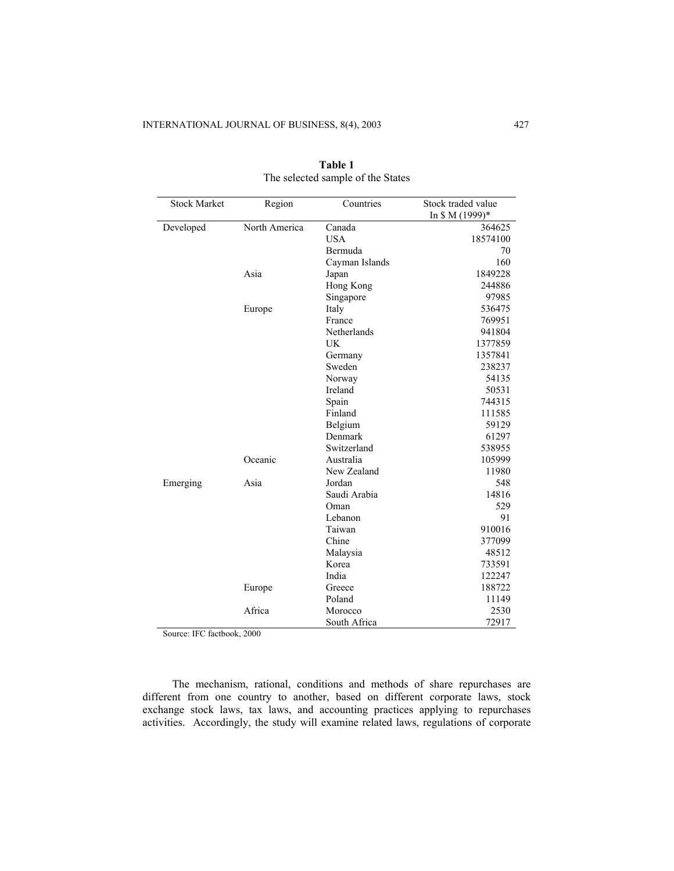| <b>Stock Market</b> | Region        | Countries      | Stock traded value |
|---------------------|---------------|----------------|--------------------|
|                     |               |                | In \$ M (1999)*    |
| Developed           | North America | Canada         | 364625             |
|                     |               | <b>USA</b>     | 18574100           |
|                     |               | Bermuda        | 70                 |
|                     |               | Cayman Islands | 160                |
|                     | Asia          | Japan          | 1849228            |
|                     |               | Hong Kong      | 244886             |
|                     |               | Singapore      | 97985              |
|                     | Europe        | Italy          | 536475             |
|                     |               | France         | 769951             |
|                     |               | Netherlands    | 941804             |
|                     |               | UK             | 1377859            |
|                     |               | Germany        | 1357841            |
|                     |               | Sweden         | 238237             |
|                     |               | Norway         | 54135              |
|                     |               | Ireland        | 50531              |
|                     |               | Spain          | 744315             |
|                     |               | Finland        | 111585             |
|                     |               | Belgium        | 59129              |
|                     |               | Denmark        | 61297              |
|                     |               | Switzerland    | 538955             |
|                     | Oceanic       | Australia      | 105999             |
|                     |               | New Zealand    | 11980              |
| Emerging            | Asia          | Jordan         | 548                |
|                     |               | Saudi Arabia   | 14816              |
|                     |               | Oman           | 529                |
|                     |               | Lebanon        | 91                 |
|                     |               | Taiwan         | 910016             |
|                     |               | Chine          | 377099             |
|                     |               | Malaysia       | 48512              |
|                     |               | Korea          | 733591             |
|                     |               | India          | 122247             |
|                     | Europe        | Greece         | 188722             |
|                     |               | Poland         | 11149              |
|                     | Africa        | Morocco        | 2530               |
|                     |               | South Africa   | 72917              |

**Table 1** The selected sample of the States

Source: IFC factbook, 2000

The mechanism, rational, conditions and methods of share repurchases are different from one country to another, based on different corporate laws, stock exchange stock laws, tax laws, and accounting practices applying to repurchases activities. Accordingly, the study will examine related laws, regulations of corporate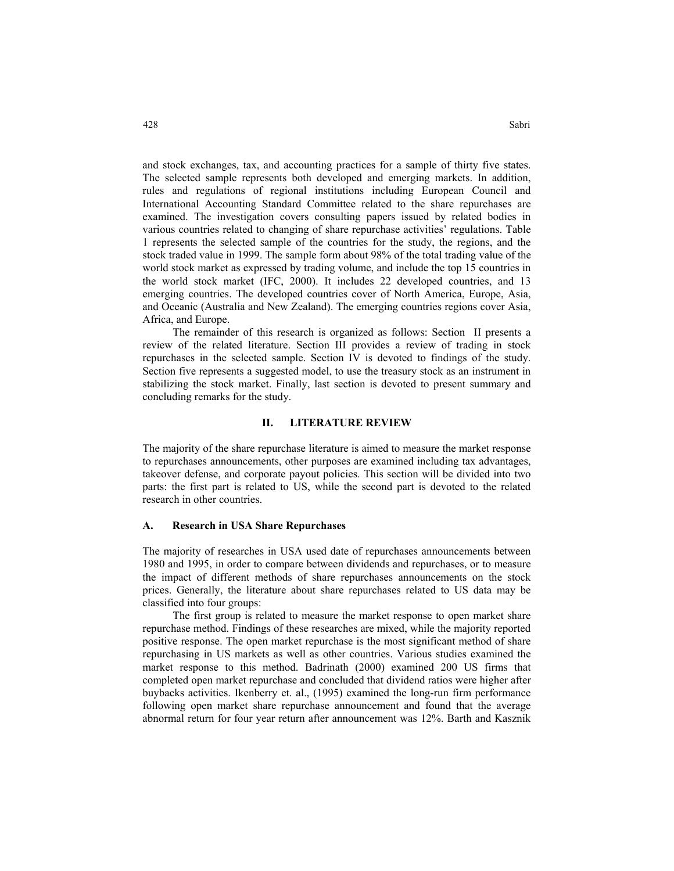and stock exchanges, tax, and accounting practices for a sample of thirty five states. The selected sample represents both developed and emerging markets. In addition, rules and regulations of regional institutions including European Council and International Accounting Standard Committee related to the share repurchases are examined. The investigation covers consulting papers issued by related bodies in various countries related to changing of share repurchase activities' regulations. Table 1 represents the selected sample of the countries for the study, the regions, and the stock traded value in 1999. The sample form about 98% of the total trading value of the world stock market as expressed by trading volume, and include the top 15 countries in the world stock market (IFC, 2000). It includes 22 developed countries, and 13 emerging countries. The developed countries cover of North America, Europe, Asia, and Oceanic (Australia and New Zealand). The emerging countries regions cover Asia, Africa, and Europe.

 The remainder of this research is organized as follows: Section II presents a review of the related literature. Section III provides a review of trading in stock repurchases in the selected sample. Section IV is devoted to findings of the study. Section five represents a suggested model, to use the treasury stock as an instrument in stabilizing the stock market. Finally, last section is devoted to present summary and concluding remarks for the study.

## **II. LITERATURE REVIEW**

The majority of the share repurchase literature is aimed to measure the market response to repurchases announcements, other purposes are examined including tax advantages, takeover defense, and corporate payout policies. This section will be divided into two parts: the first part is related to US, while the second part is devoted to the related research in other countries.

# **A. Research in USA Share Repurchases**

The majority of researches in USA used date of repurchases announcements between 1980 and 1995, in order to compare between dividends and repurchases, or to measure the impact of different methods of share repurchases announcements on the stock prices. Generally, the literature about share repurchases related to US data may be classified into four groups:

The first group is related to measure the market response to open market share repurchase method. Findings of these researches are mixed, while the majority reported positive response. The open market repurchase is the most significant method of share repurchasing in US markets as well as other countries. Various studies examined the market response to this method. Badrinath (2000) examined 200 US firms that completed open market repurchase and concluded that dividend ratios were higher after buybacks activities. Ikenberry et. al., (1995) examined the long-run firm performance following open market share repurchase announcement and found that the average abnormal return for four year return after announcement was 12%. Barth and Kasznik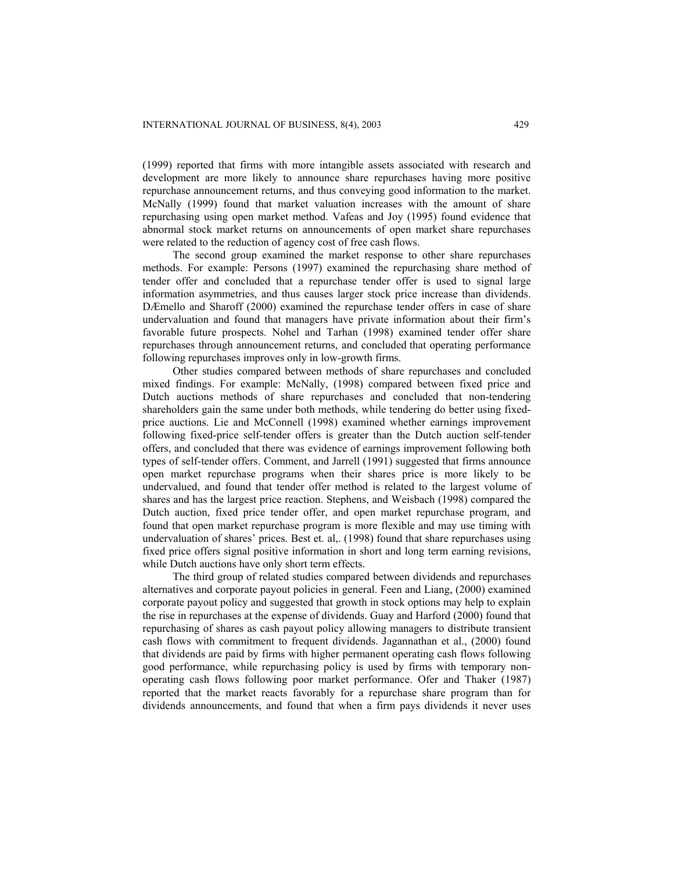(1999) reported that firms with more intangible assets associated with research and development are more likely to announce share repurchases having more positive repurchase announcement returns, and thus conveying good information to the market. McNally (1999) found that market valuation increases with the amount of share repurchasing using open market method. Vafeas and Joy (1995) found evidence that abnormal stock market returns on announcements of open market share repurchases were related to the reduction of agency cost of free cash flows.

The second group examined the market response to other share repurchases methods. For example: Persons (1997) examined the repurchasing share method of tender offer and concluded that a repurchase tender offer is used to signal large information asymmetries, and thus causes larger stock price increase than dividends. DÆmello and Sharoff (2000) examined the repurchase tender offers in case of share undervaluation and found that managers have private information about their firm's favorable future prospects. Nohel and Tarhan (1998) examined tender offer share repurchases through announcement returns, and concluded that operating performance following repurchases improves only in low-growth firms.

Other studies compared between methods of share repurchases and concluded mixed findings. For example: McNally, (1998) compared between fixed price and Dutch auctions methods of share repurchases and concluded that non-tendering shareholders gain the same under both methods, while tendering do better using fixedprice auctions. Lie and McConnell (1998) examined whether earnings improvement following fixed-price self-tender offers is greater than the Dutch auction self-tender offers, and concluded that there was evidence of earnings improvement following both types of self-tender offers. Comment, and Jarrell (1991) suggested that firms announce open market repurchase programs when their shares price is more likely to be undervalued, and found that tender offer method is related to the largest volume of shares and has the largest price reaction. Stephens, and Weisbach (1998) compared the Dutch auction, fixed price tender offer, and open market repurchase program, and found that open market repurchase program is more flexible and may use timing with undervaluation of shares' prices. Best et. al,. (1998) found that share repurchases using fixed price offers signal positive information in short and long term earning revisions, while Dutch auctions have only short term effects.

The third group of related studies compared between dividends and repurchases alternatives and corporate payout policies in general. Feen and Liang, (2000) examined corporate payout policy and suggested that growth in stock options may help to explain the rise in repurchases at the expense of dividends. Guay and Harford (2000) found that repurchasing of shares as cash payout policy allowing managers to distribute transient cash flows with commitment to frequent dividends. Jagannathan et al., (2000) found that dividends are paid by firms with higher permanent operating cash flows following good performance, while repurchasing policy is used by firms with temporary nonoperating cash flows following poor market performance. Ofer and Thaker (1987) reported that the market reacts favorably for a repurchase share program than for dividends announcements, and found that when a firm pays dividends it never uses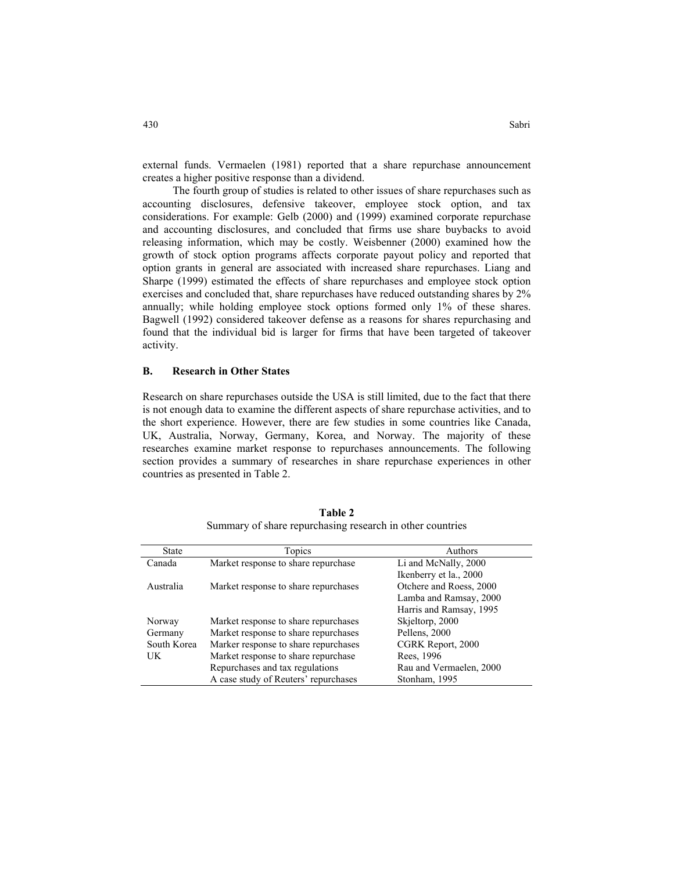creates a higher positive response than a dividend. The fourth group of studies is related to other issues of share repurchases such as accounting disclosures, defensive takeover, employee stock option, and tax considerations. For example: Gelb (2000) and (1999) examined corporate repurchase and accounting disclosures, and concluded that firms use share buybacks to avoid releasing information, which may be costly. Weisbenner (2000) examined how the growth of stock option programs affects corporate payout policy and reported that option grants in general are associated with increased share repurchases. Liang and Sharpe (1999) estimated the effects of share repurchases and employee stock option exercises and concluded that, share repurchases have reduced outstanding shares by 2% annually; while holding employee stock options formed only 1% of these shares. Bagwell (1992) considered takeover defense as a reasons for shares repurchasing and found that the individual bid is larger for firms that have been targeted of takeover activity.

# **B. Research in Other States**

Research on share repurchases outside the USA is still limited, due to the fact that there is not enough data to examine the different aspects of share repurchase activities, and to the short experience. However, there are few studies in some countries like Canada, UK, Australia, Norway, Germany, Korea, and Norway. The majority of these researches examine market response to repurchases announcements. The following section provides a summary of researches in share repurchase experiences in other countries as presented in Table 2.

| <b>State</b> | Topics                               | Authors                 |
|--------------|--------------------------------------|-------------------------|
| Canada       | Market response to share repurchase  | Li and McNally, 2000    |
|              |                                      | Ikenberry et la., 2000  |
| Australia    | Market response to share repurchases | Otchere and Roess, 2000 |
|              |                                      | Lamba and Ramsay, 2000  |
|              |                                      | Harris and Ramsay, 1995 |
| Norway       | Market response to share repurchases | Skjeltorp, 2000         |
| Germany      | Market response to share repurchases | Pellens, 2000           |
| South Korea  | Marker response to share repurchases | CGRK Report, 2000       |
| UK           | Market response to share repurchase  | Rees, 1996              |
|              | Repurchases and tax regulations      | Rau and Vermaelen, 2000 |
|              | A case study of Reuters' repurchases | Stonham, 1995           |

**Table 2**  Summary of share repurchasing research in other countries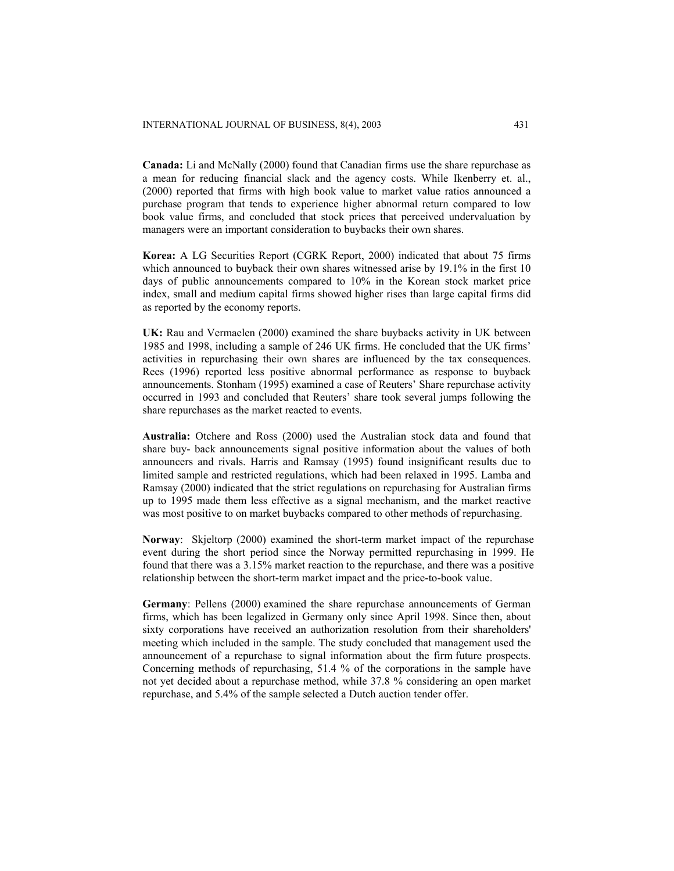**Canada:** Li and McNally (2000) found that Canadian firms use the share repurchase as a mean for reducing financial slack and the agency costs. While Ikenberry et. al., (2000) reported that firms with high book value to market value ratios announced a purchase program that tends to experience higher abnormal return compared to low book value firms, and concluded that stock prices that perceived undervaluation by managers were an important consideration to buybacks their own shares.

**Korea:** A LG Securities Report (CGRK Report, 2000) indicated that about 75 firms which announced to buyback their own shares witnessed arise by 19.1% in the first 10 days of public announcements compared to 10% in the Korean stock market price index, small and medium capital firms showed higher rises than large capital firms did as reported by the economy reports.

**UK:** Rau and Vermaelen (2000) examined the share buybacks activity in UK between 1985 and 1998, including a sample of 246 UK firms. He concluded that the UK firms' activities in repurchasing their own shares are influenced by the tax consequences. Rees (1996) reported less positive abnormal performance as response to buyback announcements. Stonham (1995) examined a case of Reuters' Share repurchase activity occurred in 1993 and concluded that Reuters' share took several jumps following the share repurchases as the market reacted to events.

**Australia:** Otchere and Ross (2000) used the Australian stock data and found that share buy- back announcements signal positive information about the values of both announcers and rivals. Harris and Ramsay (1995) found insignificant results due to limited sample and restricted regulations, which had been relaxed in 1995. Lamba and Ramsay (2000) indicated that the strict regulations on repurchasing for Australian firms up to 1995 made them less effective as a signal mechanism, and the market reactive was most positive to on market buybacks compared to other methods of repurchasing.

**Norway**: Skjeltorp (2000) examined the short-term market impact of the repurchase event during the short period since the Norway permitted repurchasing in 1999. He found that there was a 3.15% market reaction to the repurchase, and there was a positive relationship between the short-term market impact and the price-to-book value.

**Germany**: Pellens (2000) examined the share repurchase announcements of German firms, which has been legalized in Germany only since April 1998. Since then, about sixty corporations have received an authorization resolution from their shareholders' meeting which included in the sample. The study concluded that management used the announcement of a repurchase to signal information about the firm future prospects. Concerning methods of repurchasing, 51.4 % of the corporations in the sample have not yet decided about a repurchase method, while 37.8 % considering an open market repurchase, and 5.4% of the sample selected a Dutch auction tender offer.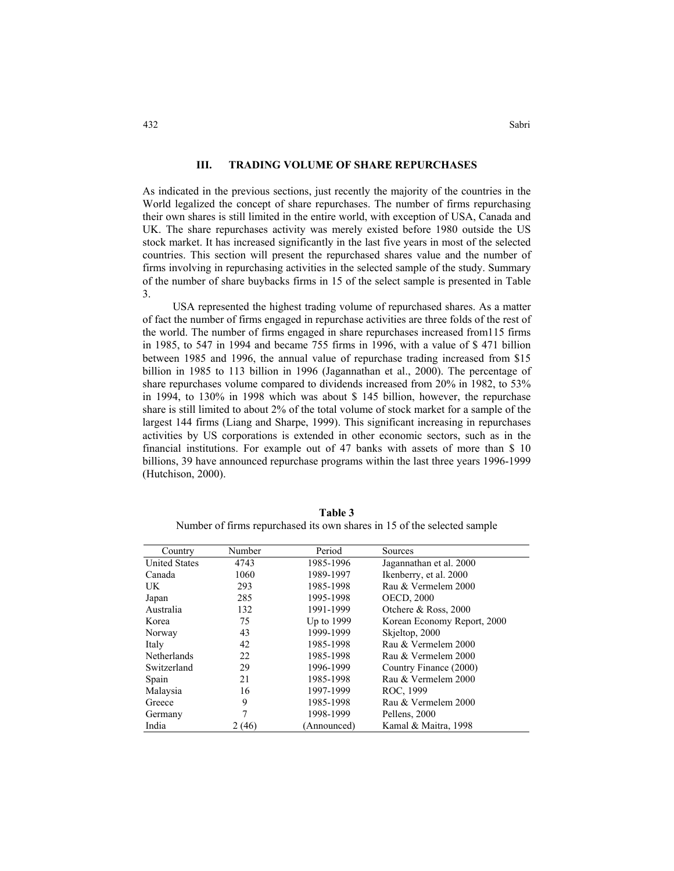#### **III. TRADING VOLUME OF SHARE REPURCHASES**

As indicated in the previous sections, just recently the majority of the countries in the World legalized the concept of share repurchases. The number of firms repurchasing their own shares is still limited in the entire world, with exception of USA, Canada and UK. The share repurchases activity was merely existed before 1980 outside the US stock market. It has increased significantly in the last five years in most of the selected countries. This section will present the repurchased shares value and the number of firms involving in repurchasing activities in the selected sample of the study. Summary of the number of share buybacks firms in 15 of the select sample is presented in Table 3.

USA represented the highest trading volume of repurchased shares. As a matter of fact the number of firms engaged in repurchase activities are three folds of the rest of the world. The number of firms engaged in share repurchases increased from115 firms in 1985, to 547 in 1994 and became 755 firms in 1996, with a value of \$ 471 billion between 1985 and 1996, the annual value of repurchase trading increased from \$15 billion in 1985 to 113 billion in 1996 (Jagannathan et al., 2000). The percentage of share repurchases volume compared to dividends increased from 20% in 1982, to 53% in 1994, to 130% in 1998 which was about \$ 145 billion, however, the repurchase share is still limited to about 2% of the total volume of stock market for a sample of the largest 144 firms (Liang and Sharpe, 1999). This significant increasing in repurchases activities by US corporations is extended in other economic sectors, such as in the financial institutions. For example out of 47 banks with assets of more than \$ 10 billions, 39 have announced repurchase programs within the last three years 1996-1999 (Hutchison, 2000).

| Country              | Number | Period      | Sources                     |
|----------------------|--------|-------------|-----------------------------|
| <b>United States</b> | 4743   | 1985-1996   | Jagannathan et al. 2000     |
| Canada               | 1060   | 1989-1997   | Ikenberry, et al. 2000      |
| UK.                  | 293    | 1985-1998   | Rau & Vermelem 2000         |
| Japan                | 285    | 1995-1998   | <b>OECD, 2000</b>           |
| Australia            | 132    | 1991-1999   | Otchere & Ross, 2000        |
| Korea                | 75     | Up to 1999  | Korean Economy Report, 2000 |
| Norway               | 43     | 1999-1999   | Skjeltop, 2000              |
| Italy                | 42     | 1985-1998   | Rau & Vermelem 2000         |
| <b>Netherlands</b>   | 22     | 1985-1998   | Rau & Vermelem 2000         |
| Switzerland          | 29     | 1996-1999   | Country Finance (2000)      |
| Spain                | 21     | 1985-1998   | Rau & Vermelem 2000         |
| Malaysia             | 16     | 1997-1999   | ROC, 1999                   |
| Greece               | 9      | 1985-1998   | Rau & Vermelem 2000         |
| Germany              |        | 1998-1999   | Pellens, 2000               |
| India                | 2(46)  | (Announced) | Kamal & Maitra, 1998        |

**Table 3**  Number of firms repurchased its own shares in 15 of the selected sample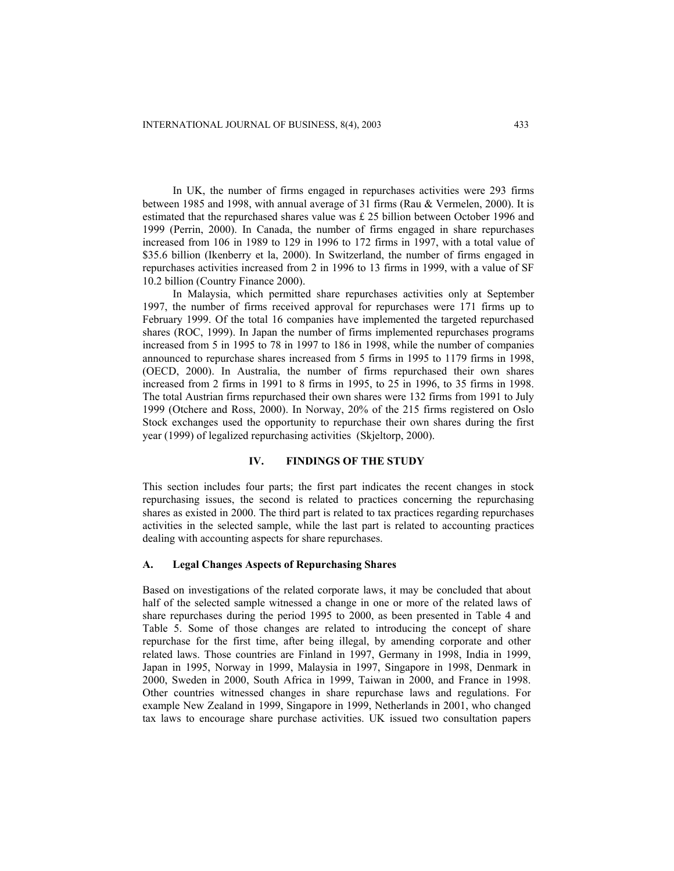In UK, the number of firms engaged in repurchases activities were 293 firms between 1985 and 1998, with annual average of 31 firms (Rau & Vermelen, 2000). It is estimated that the repurchased shares value was  $£$  25 billion between October 1996 and 1999 (Perrin, 2000). In Canada, the number of firms engaged in share repurchases increased from 106 in 1989 to 129 in 1996 to 172 firms in 1997, with a total value of \$35.6 billion (Ikenberry et la, 2000). In Switzerland, the number of firms engaged in repurchases activities increased from 2 in 1996 to 13 firms in 1999, with a value of SF 10.2 billion (Country Finance 2000).

In Malaysia, which permitted share repurchases activities only at September 1997, the number of firms received approval for repurchases were 171 firms up to February 1999. Of the total 16 companies have implemented the targeted repurchased shares (ROC, 1999). In Japan the number of firms implemented repurchases programs increased from 5 in 1995 to 78 in 1997 to 186 in 1998, while the number of companies announced to repurchase shares increased from 5 firms in 1995 to 1179 firms in 1998, (OECD, 2000). In Australia, the number of firms repurchased their own shares increased from 2 firms in 1991 to 8 firms in 1995, to 25 in 1996, to 35 firms in 1998. The total Austrian firms repurchased their own shares were 132 firms from 1991 to July 1999 (Otchere and Ross, 2000). In Norway, 20% of the 215 firms registered on Oslo Stock exchanges used the opportunity to repurchase their own shares during the first year (1999) of legalized repurchasing activities (Skjeltorp, 2000).

## **IV. FINDINGS OF THE STUDY**

This section includes four parts; the first part indicates the recent changes in stock repurchasing issues, the second is related to practices concerning the repurchasing shares as existed in 2000. The third part is related to tax practices regarding repurchases activities in the selected sample, while the last part is related to accounting practices dealing with accounting aspects for share repurchases.

## **A. Legal Changes Aspects of Repurchasing Shares**

Based on investigations of the related corporate laws, it may be concluded that about half of the selected sample witnessed a change in one or more of the related laws of share repurchases during the period 1995 to 2000, as been presented in Table 4 and Table 5. Some of those changes are related to introducing the concept of share repurchase for the first time, after being illegal, by amending corporate and other related laws. Those countries are Finland in 1997, Germany in 1998, India in 1999, Japan in 1995, Norway in 1999, Malaysia in 1997, Singapore in 1998, Denmark in 2000, Sweden in 2000, South Africa in 1999, Taiwan in 2000, and France in 1998. Other countries witnessed changes in share repurchase laws and regulations. For example New Zealand in 1999, Singapore in 1999, Netherlands in 2001, who changed tax laws to encourage share purchase activities. UK issued two consultation papers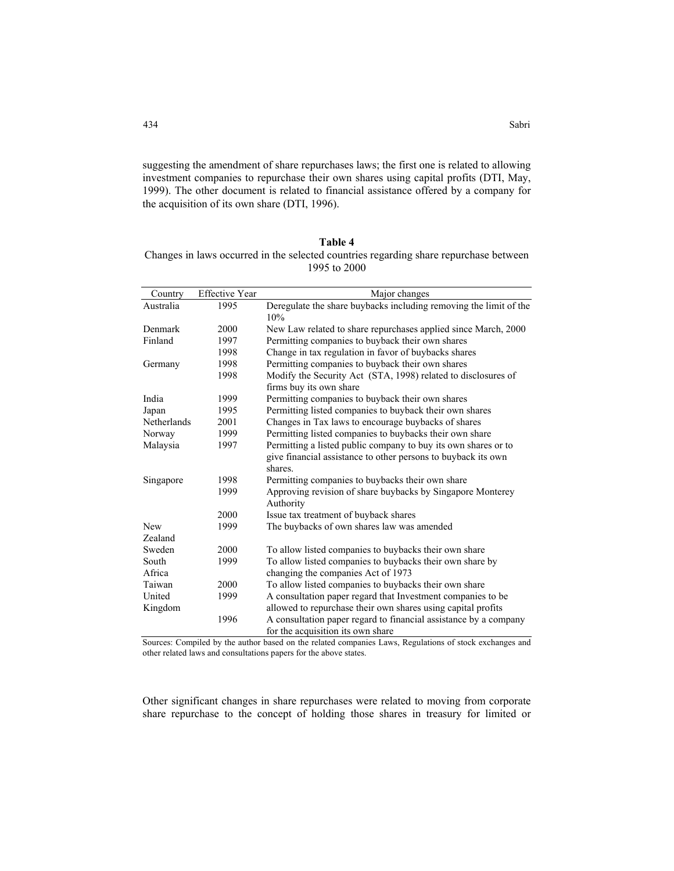suggesting the amendment of share repurchases laws; the first one is related to allowing investment companies to repurchase their own shares using capital profits (DTI, May, 1999). The other document is related to financial assistance offered by a company for the acquisition of its own share (DTI, 1996).

# **Table 4**  Changes in laws occurred in the selected countries regarding share repurchase between 1995 to 2000

| Country     | <b>Effective Year</b> | Major changes                                                                                                                              |  |
|-------------|-----------------------|--------------------------------------------------------------------------------------------------------------------------------------------|--|
| Australia   | 1995                  | Deregulate the share buybacks including removing the limit of the<br>10%                                                                   |  |
| Denmark     | 2000                  | New Law related to share repurchases applied since March, 2000                                                                             |  |
| Finland     | 1997                  | Permitting companies to buyback their own shares                                                                                           |  |
|             | 1998                  | Change in tax regulation in favor of buybacks shares                                                                                       |  |
| Germany     | 1998                  | Permitting companies to buyback their own shares                                                                                           |  |
|             | 1998                  | Modify the Security Act (STA, 1998) related to disclosures of<br>firms buy its own share                                                   |  |
| India       | 1999                  | Permitting companies to buyback their own shares                                                                                           |  |
| Japan       | 1995                  | Permitting listed companies to buyback their own shares                                                                                    |  |
| Netherlands | 2001                  | Changes in Tax laws to encourage buybacks of shares                                                                                        |  |
| Norway      | 1999                  | Permitting listed companies to buybacks their own share                                                                                    |  |
| Malaysia    | 1997                  | Permitting a listed public company to buy its own shares or to<br>give financial assistance to other persons to buyback its own<br>shares. |  |
| Singapore   | 1998                  | Permitting companies to buybacks their own share                                                                                           |  |
|             | 1999                  | Approving revision of share buybacks by Singapore Monterey<br>Authority                                                                    |  |
|             | 2000                  | Issue tax treatment of buyback shares                                                                                                      |  |
| New         | 1999                  | The buybacks of own shares law was amended                                                                                                 |  |
| Zealand     |                       |                                                                                                                                            |  |
| Sweden      | 2000                  | To allow listed companies to buybacks their own share                                                                                      |  |
| South       | 1999                  | To allow listed companies to buybacks their own share by                                                                                   |  |
| Africa      |                       | changing the companies Act of 1973                                                                                                         |  |
| Taiwan      | 2000                  | To allow listed companies to buybacks their own share                                                                                      |  |
| United      | 1999                  | A consultation paper regard that Investment companies to be                                                                                |  |
| Kingdom     |                       | allowed to repurchase their own shares using capital profits                                                                               |  |
|             | 1996                  | A consultation paper regard to financial assistance by a company<br>for the acquisition its own share                                      |  |

Sources: Compiled by the author based on the related companies Laws, Regulations of stock exchanges and other related laws and consultations papers for the above states.

Other significant changes in share repurchases were related to moving from corporate share repurchase to the concept of holding those shares in treasury for limited or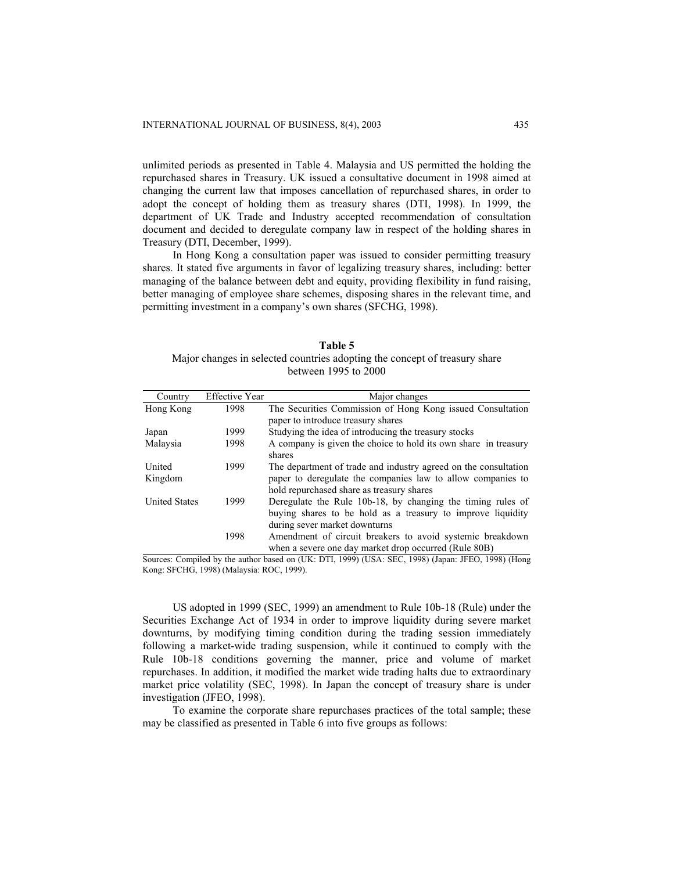unlimited periods as presented in Table 4. Malaysia and US permitted the holding the repurchased shares in Treasury. UK issued a consultative document in 1998 aimed at changing the current law that imposes cancellation of repurchased shares, in order to adopt the concept of holding them as treasury shares (DTI, 1998). In 1999, the department of UK Trade and Industry accepted recommendation of consultation document and decided to deregulate company law in respect of the holding shares in Treasury (DTI, December, 1999).

In Hong Kong a consultation paper was issued to consider permitting treasury shares. It stated five arguments in favor of legalizing treasury shares, including: better managing of the balance between debt and equity, providing flexibility in fund raising, better managing of employee share schemes, disposing shares in the relevant time, and permitting investment in a company's own shares (SFCHG, 1998).

**Table 5** Major changes in selected countries adopting the concept of treasury share between 1995 to 2000

| Country              | <b>Effective Year</b> | Major changes                                                                                                                                                               |
|----------------------|-----------------------|-----------------------------------------------------------------------------------------------------------------------------------------------------------------------------|
| Hong Kong            | 1998                  | The Securities Commission of Hong Kong issued Consultation                                                                                                                  |
|                      |                       | paper to introduce treasury shares                                                                                                                                          |
| Japan                | 1999                  | Studying the idea of introducing the treasury stocks                                                                                                                        |
| Malaysia             | 1998                  | A company is given the choice to hold its own share in treasury<br>shares                                                                                                   |
| United<br>Kingdom    | 1999                  | The department of trade and industry agreed on the consultation<br>paper to deregulate the companies law to allow companies to<br>hold repurchased share as treasury shares |
| <b>United States</b> | 1999                  | Deregulate the Rule 10b-18, by changing the timing rules of<br>buying shares to be hold as a treasury to improve liquidity<br>during sever market downturns                 |
|                      | 1998                  | Amendment of circuit breakers to avoid systemic breakdown<br>when a severe one day market drop occurred (Rule 80B)                                                          |

Sources: Compiled by the author based on (UK: DTI, 1999) (USA: SEC, 1998) (Japan: JFEO, 1998) (Hong Kong: SFCHG, 1998) (Malaysia: ROC, 1999).

US adopted in 1999 (SEC, 1999) an amendment to Rule 10b-18 (Rule) under the Securities Exchange Act of 1934 in order to improve liquidity during severe market downturns, by modifying timing condition during the trading session immediately following a market-wide trading suspension, while it continued to comply with the Rule 10b-18 conditions governing the manner, price and volume of market repurchases. In addition, it modified the market wide trading halts due to extraordinary market price volatility (SEC, 1998). In Japan the concept of treasury share is under investigation (JFEO, 1998).

To examine the corporate share repurchases practices of the total sample; these may be classified as presented in Table 6 into five groups as follows: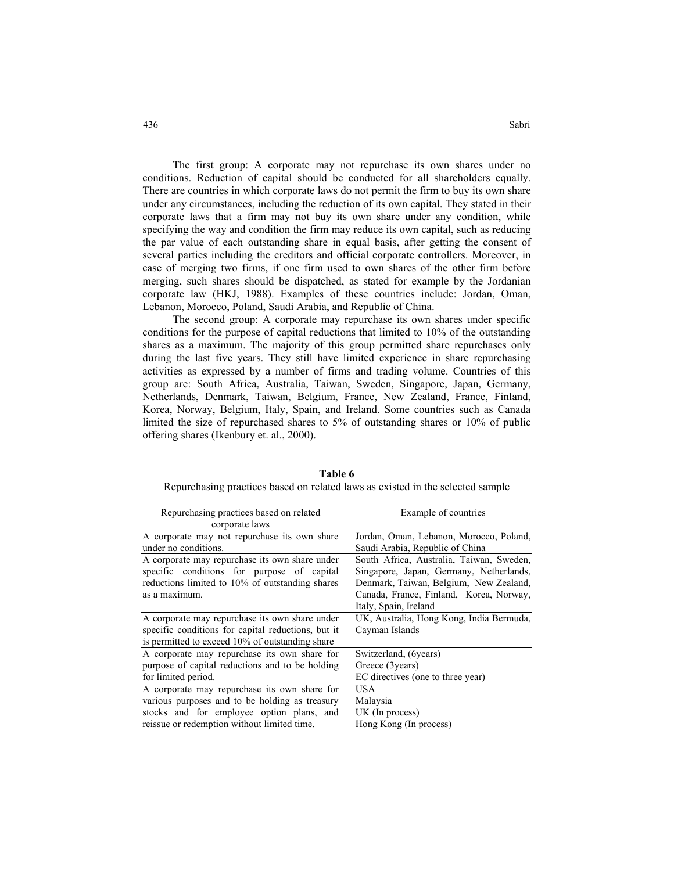The first group: A corporate may not repurchase its own shares under no conditions. Reduction of capital should be conducted for all shareholders equally. There are countries in which corporate laws do not permit the firm to buy its own share under any circumstances, including the reduction of its own capital. They stated in their corporate laws that a firm may not buy its own share under any condition, while specifying the way and condition the firm may reduce its own capital, such as reducing the par value of each outstanding share in equal basis, after getting the consent of several parties including the creditors and official corporate controllers. Moreover, in case of merging two firms, if one firm used to own shares of the other firm before merging, such shares should be dispatched, as stated for example by the Jordanian corporate law (HKJ, 1988). Examples of these countries include: Jordan, Oman, Lebanon, Morocco, Poland, Saudi Arabia, and Republic of China.

The second group: A corporate may repurchase its own shares under specific conditions for the purpose of capital reductions that limited to 10% of the outstanding shares as a maximum. The majority of this group permitted share repurchases only during the last five years. They still have limited experience in share repurchasing activities as expressed by a number of firms and trading volume. Countries of this group are: South Africa, Australia, Taiwan, Sweden, Singapore, Japan, Germany, Netherlands, Denmark, Taiwan, Belgium, France, New Zealand, France, Finland, Korea, Norway, Belgium, Italy, Spain, and Ireland. Some countries such as Canada limited the size of repurchased shares to 5% of outstanding shares or 10% of public offering shares (Ikenbury et. al., 2000).

| Repurchasing practices based on related            | Example of countries                     |
|----------------------------------------------------|------------------------------------------|
| corporate laws                                     |                                          |
| A corporate may not repurchase its own share       | Jordan, Oman, Lebanon, Morocco, Poland,  |
| under no conditions.                               | Saudi Arabia, Republic of China          |
| A corporate may repurchase its own share under     | South Africa, Australia, Taiwan, Sweden, |
| specific conditions for purpose of capital         | Singapore, Japan, Germany, Netherlands,  |
| reductions limited to 10% of outstanding shares    | Denmark, Taiwan, Belgium, New Zealand,   |
| as a maximum.                                      | Canada, France, Finland, Korea, Norway,  |
|                                                    | Italy, Spain, Ireland                    |
| A corporate may repurchase its own share under     | UK, Australia, Hong Kong, India Bermuda, |
| specific conditions for capital reductions, but it | Cayman Islands                           |
| is permitted to exceed 10% of outstanding share    |                                          |
| A corporate may repurchase its own share for       | Switzerland, (6years)                    |
| purpose of capital reductions and to be holding    | Greece (3years)                          |
| for limited period.                                | EC directives (one to three year)        |
| A corporate may repurchase its own share for       | USA                                      |
| various purposes and to be holding as treasury     | Malaysia                                 |
| stocks and for employee option plans, and          | $UK$ (In process)                        |
| reissue or redemption without limited time.        | Hong Kong (In process)                   |

**Table 6**  Repurchasing practices based on related laws as existed in the selected sample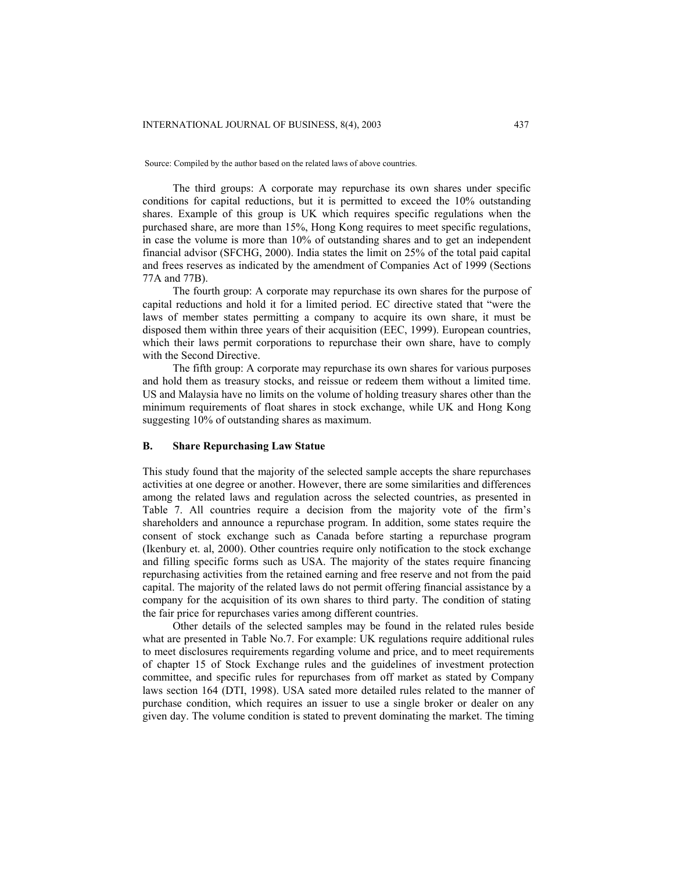Source: Compiled by the author based on the related laws of above countries.

The third groups: A corporate may repurchase its own shares under specific conditions for capital reductions, but it is permitted to exceed the 10% outstanding shares. Example of this group is UK which requires specific regulations when the purchased share, are more than 15%, Hong Kong requires to meet specific regulations, in case the volume is more than 10% of outstanding shares and to get an independent financial advisor (SFCHG, 2000). India states the limit on 25% of the total paid capital and frees reserves as indicated by the amendment of Companies Act of 1999 (Sections 77A and 77B).

The fourth group: A corporate may repurchase its own shares for the purpose of capital reductions and hold it for a limited period. EC directive stated that "were the laws of member states permitting a company to acquire its own share, it must be disposed them within three years of their acquisition (EEC, 1999). European countries, which their laws permit corporations to repurchase their own share, have to comply with the Second Directive.

The fifth group: A corporate may repurchase its own shares for various purposes and hold them as treasury stocks, and reissue or redeem them without a limited time. US and Malaysia have no limits on the volume of holding treasury shares other than the minimum requirements of float shares in stock exchange, while UK and Hong Kong suggesting 10% of outstanding shares as maximum.

## **B. Share Repurchasing Law Statue**

This study found that the majority of the selected sample accepts the share repurchases activities at one degree or another. However, there are some similarities and differences among the related laws and regulation across the selected countries, as presented in Table 7. All countries require a decision from the majority vote of the firm's shareholders and announce a repurchase program. In addition, some states require the consent of stock exchange such as Canada before starting a repurchase program (Ikenbury et. al, 2000). Other countries require only notification to the stock exchange and filling specific forms such as USA. The majority of the states require financing repurchasing activities from the retained earning and free reserve and not from the paid capital. The majority of the related laws do not permit offering financial assistance by a company for the acquisition of its own shares to third party. The condition of stating the fair price for repurchases varies among different countries.

Other details of the selected samples may be found in the related rules beside what are presented in Table No.7. For example: UK regulations require additional rules to meet disclosures requirements regarding volume and price, and to meet requirements of chapter 15 of Stock Exchange rules and the guidelines of investment protection committee, and specific rules for repurchases from off market as stated by Company laws section 164 (DTI, 1998). USA sated more detailed rules related to the manner of purchase condition, which requires an issuer to use a single broker or dealer on any given day. The volume condition is stated to prevent dominating the market. The timing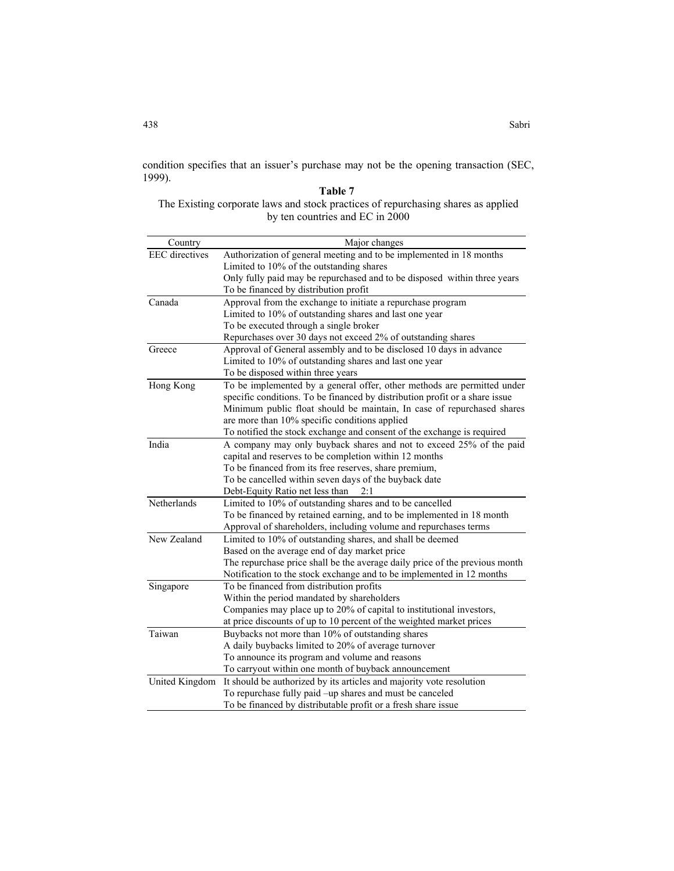condition specifies that an issuer's purchase may not be the opening transaction (SEC, 1999).

**Table 7**  The Existing corporate laws and stock practices of repurchasing shares as applied by ten countries and EC in 2000

| Country               | Major changes                                                               |  |  |
|-----------------------|-----------------------------------------------------------------------------|--|--|
| <b>EEC</b> directives | Authorization of general meeting and to be implemented in 18 months         |  |  |
|                       | Limited to 10% of the outstanding shares                                    |  |  |
|                       | Only fully paid may be repurchased and to be disposed within three years    |  |  |
|                       | To be financed by distribution profit                                       |  |  |
| Canada                | Approval from the exchange to initiate a repurchase program                 |  |  |
|                       | Limited to 10% of outstanding shares and last one year                      |  |  |
|                       | To be executed through a single broker                                      |  |  |
|                       | Repurchases over 30 days not exceed 2% of outstanding shares                |  |  |
| Greece                | Approval of General assembly and to be disclosed 10 days in advance         |  |  |
|                       | Limited to 10% of outstanding shares and last one year                      |  |  |
|                       | To be disposed within three years                                           |  |  |
| Hong Kong             | To be implemented by a general offer, other methods are permitted under     |  |  |
|                       | specific conditions. To be financed by distribution profit or a share issue |  |  |
|                       | Minimum public float should be maintain, In case of repurchased shares      |  |  |
|                       | are more than 10% specific conditions applied                               |  |  |
|                       | To notified the stock exchange and consent of the exchange is required      |  |  |
| India                 | A company may only buyback shares and not to exceed 25% of the paid         |  |  |
|                       | capital and reserves to be completion within 12 months                      |  |  |
|                       | To be financed from its free reserves, share premium,                       |  |  |
|                       | To be cancelled within seven days of the buyback date                       |  |  |
|                       | Debt-Equity Ratio net less than<br>2:1                                      |  |  |
| Netherlands           | Limited to 10% of outstanding shares and to be cancelled                    |  |  |
|                       | To be financed by retained earning, and to be implemented in 18 month       |  |  |
|                       | Approval of shareholders, including volume and repurchases terms            |  |  |
| New Zealand           | Limited to 10% of outstanding shares, and shall be deemed                   |  |  |
|                       | Based on the average end of day market price                                |  |  |
|                       | The repurchase price shall be the average daily price of the previous month |  |  |
|                       | Notification to the stock exchange and to be implemented in 12 months       |  |  |
| Singapore             | To be financed from distribution profits                                    |  |  |
|                       | Within the period mandated by shareholders                                  |  |  |
|                       | Companies may place up to 20% of capital to institutional investors,        |  |  |
|                       | at price discounts of up to 10 percent of the weighted market prices        |  |  |
| Taiwan                | Buybacks not more than 10% of outstanding shares                            |  |  |
|                       | A daily buybacks limited to 20% of average turnover                         |  |  |
|                       | To announce its program and volume and reasons                              |  |  |
|                       | To carryout within one month of buyback announcement                        |  |  |
| United Kingdom        | It should be authorized by its articles and majority vote resolution        |  |  |
|                       | To repurchase fully paid -up shares and must be canceled                    |  |  |
|                       | To be financed by distributable profit or a fresh share issue               |  |  |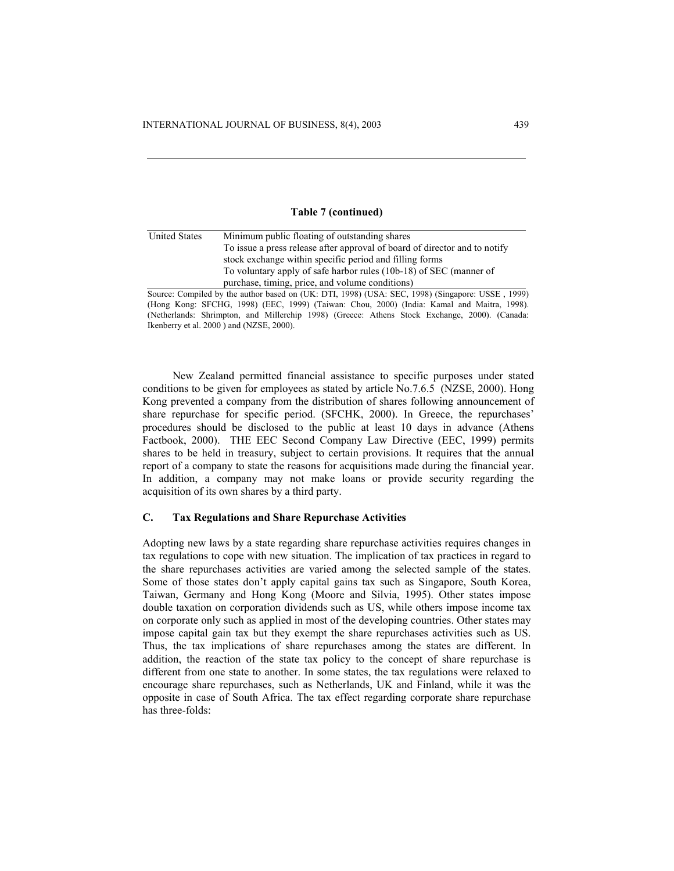#### **Table 7 (continued)**

| <b>United States</b> | Minimum public floating of outstanding shares                                                    |  |  |
|----------------------|--------------------------------------------------------------------------------------------------|--|--|
|                      | To issue a press release after approval of board of director and to notify                       |  |  |
|                      | stock exchange within specific period and filling forms                                          |  |  |
|                      | To voluntary apply of safe harbor rules (10b-18) of SEC (manner of                               |  |  |
|                      | purchase, timing, price, and volume conditions)                                                  |  |  |
|                      | Source: Compiled by the author based on (UK: DTI, 1998) (USA: SEC, 1998) (Singapore: USSE, 1999) |  |  |

(Hong Kong: SFCHG, 1998) (EEC, 1999) (Taiwan: Chou, 2000) (India: Kamal and Maitra, 1998). (Netherlands: Shrimpton, and Millerchip 1998) (Greece: Athens Stock Exchange, 2000). (Canada: Ikenberry et al. 2000 ) and (NZSE, 2000).

New Zealand permitted financial assistance to specific purposes under stated conditions to be given for employees as stated by article No.7.6.5 (NZSE, 2000). Hong Kong prevented a company from the distribution of shares following announcement of share repurchase for specific period. (SFCHK, 2000). In Greece, the repurchases' procedures should be disclosed to the public at least 10 days in advance (Athens Factbook, 2000). THE EEC Second Company Law Directive (EEC, 1999) permits shares to be held in treasury, subject to certain provisions. It requires that the annual report of a company to state the reasons for acquisitions made during the financial year. In addition, a company may not make loans or provide security regarding the acquisition of its own shares by a third party.

### **C. Tax Regulations and Share Repurchase Activities**

Adopting new laws by a state regarding share repurchase activities requires changes in tax regulations to cope with new situation. The implication of tax practices in regard to the share repurchases activities are varied among the selected sample of the states. Some of those states don't apply capital gains tax such as Singapore, South Korea, Taiwan, Germany and Hong Kong (Moore and Silvia, 1995). Other states impose double taxation on corporation dividends such as US, while others impose income tax on corporate only such as applied in most of the developing countries. Other states may impose capital gain tax but they exempt the share repurchases activities such as US. Thus, the tax implications of share repurchases among the states are different. In addition, the reaction of the state tax policy to the concept of share repurchase is different from one state to another. In some states, the tax regulations were relaxed to encourage share repurchases, such as Netherlands, UK and Finland, while it was the opposite in case of South Africa. The tax effect regarding corporate share repurchase has three-folds: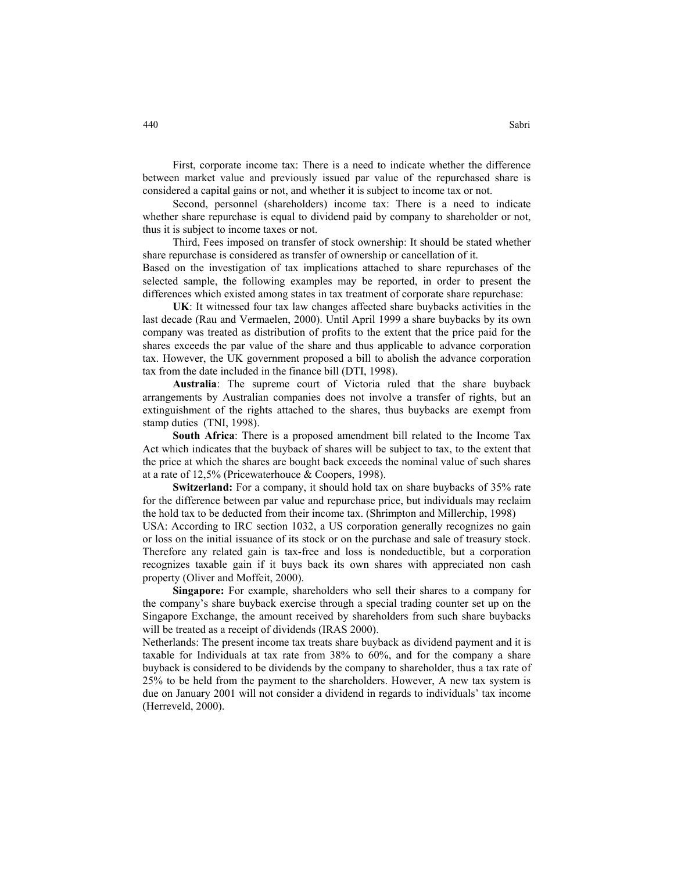First, corporate income tax: There is a need to indicate whether the difference between market value and previously issued par value of the repurchased share is considered a capital gains or not, and whether it is subject to income tax or not.

Second, personnel (shareholders) income tax: There is a need to indicate whether share repurchase is equal to dividend paid by company to shareholder or not, thus it is subject to income taxes or not.

Third, Fees imposed on transfer of stock ownership: It should be stated whether share repurchase is considered as transfer of ownership or cancellation of it. Based on the investigation of tax implications attached to share repurchases of the selected sample, the following examples may be reported, in order to present the differences which existed among states in tax treatment of corporate share repurchase:

 **UK**: It witnessed four tax law changes affected share buybacks activities in the last decade (Rau and Vermaelen, 2000). Until April 1999 a share buybacks by its own company was treated as distribution of profits to the extent that the price paid for the shares exceeds the par value of the share and thus applicable to advance corporation tax. However, the UK government proposed a bill to abolish the advance corporation tax from the date included in the finance bill (DTI, 1998).

**Australia**: The supreme court of Victoria ruled that the share buyback arrangements by Australian companies does not involve a transfer of rights, but an extinguishment of the rights attached to the shares, thus buybacks are exempt from stamp duties (TNI, 1998).

**South Africa**: There is a proposed amendment bill related to the Income Tax Act which indicates that the buyback of shares will be subject to tax, to the extent that the price at which the shares are bought back exceeds the nominal value of such shares at a rate of 12,5% (Pricewaterhouce & Coopers, 1998).

**Switzerland:** For a company, it should hold tax on share buybacks of 35% rate for the difference between par value and repurchase price, but individuals may reclaim the hold tax to be deducted from their income tax. (Shrimpton and Millerchip, 1998) USA: According to IRC section 1032, a US corporation generally recognizes no gain or loss on the initial issuance of its stock or on the purchase and sale of treasury stock. Therefore any related gain is tax-free and loss is nondeductible, but a corporation recognizes taxable gain if it buys back its own shares with appreciated non cash property (Oliver and Moffeit, 2000).

**Singapore:** For example, shareholders who sell their shares to a company for the company's share buyback exercise through a special trading counter set up on the Singapore Exchange, the amount received by shareholders from such share buybacks will be treated as a receipt of dividends (IRAS 2000).

Netherlands: The present income tax treats share buyback as dividend payment and it is taxable for Individuals at tax rate from 38% to 60%, and for the company a share buyback is considered to be dividends by the company to shareholder, thus a tax rate of 25% to be held from the payment to the shareholders. However, A new tax system is due on January 2001 will not consider a dividend in regards to individuals' tax income (Herreveld, 2000).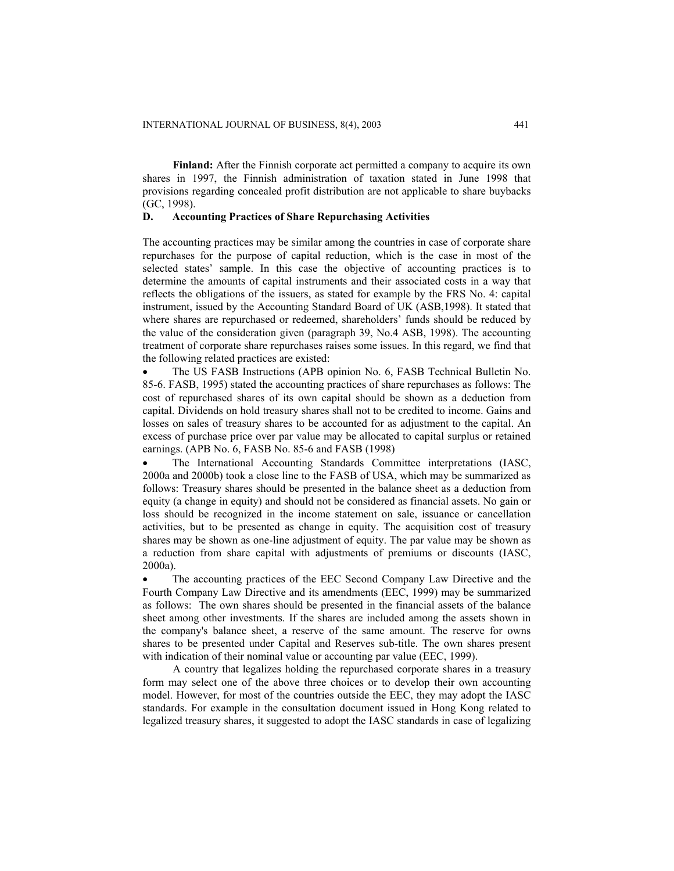**Finland:** After the Finnish corporate act permitted a company to acquire its own shares in 1997, the Finnish administration of taxation stated in June 1998 that provisions regarding concealed profit distribution are not applicable to share buybacks (GC, 1998).

## **D. Accounting Practices of Share Repurchasing Activities**

The accounting practices may be similar among the countries in case of corporate share repurchases for the purpose of capital reduction, which is the case in most of the selected states' sample. In this case the objective of accounting practices is to determine the amounts of capital instruments and their associated costs in a way that reflects the obligations of the issuers, as stated for example by the FRS No. 4: capital instrument, issued by the Accounting Standard Board of UK (ASB,1998). It stated that where shares are repurchased or redeemed, shareholders' funds should be reduced by the value of the consideration given (paragraph 39, No.4 ASB, 1998). The accounting treatment of corporate share repurchases raises some issues. In this regard, we find that the following related practices are existed:

• The US FASB Instructions (APB opinion No. 6, FASB Technical Bulletin No. 85-6. FASB, 1995) stated the accounting practices of share repurchases as follows: The cost of repurchased shares of its own capital should be shown as a deduction from capital. Dividends on hold treasury shares shall not to be credited to income. Gains and losses on sales of treasury shares to be accounted for as adjustment to the capital. An excess of purchase price over par value may be allocated to capital surplus or retained earnings. (APB No. 6, FASB No. 85-6 and FASB (1998)

The International Accounting Standards Committee interpretations (IASC, 2000a and 2000b) took a close line to the FASB of USA, which may be summarized as follows: Treasury shares should be presented in the balance sheet as a deduction from equity (a change in equity) and should not be considered as financial assets. No gain or loss should be recognized in the income statement on sale, issuance or cancellation activities, but to be presented as change in equity. The acquisition cost of treasury shares may be shown as one-line adjustment of equity. The par value may be shown as a reduction from share capital with adjustments of premiums or discounts (IASC, 2000a).

The accounting practices of the EEC Second Company Law Directive and the Fourth Company Law Directive and its amendments (EEC, 1999) may be summarized as follows: The own shares should be presented in the financial assets of the balance sheet among other investments. If the shares are included among the assets shown in the company's balance sheet, a reserve of the same amount. The reserve for owns shares to be presented under Capital and Reserves sub-title. The own shares present with indication of their nominal value or accounting par value (EEC, 1999).

A country that legalizes holding the repurchased corporate shares in a treasury form may select one of the above three choices or to develop their own accounting model. However, for most of the countries outside the EEC, they may adopt the IASC standards. For example in the consultation document issued in Hong Kong related to legalized treasury shares, it suggested to adopt the IASC standards in case of legalizing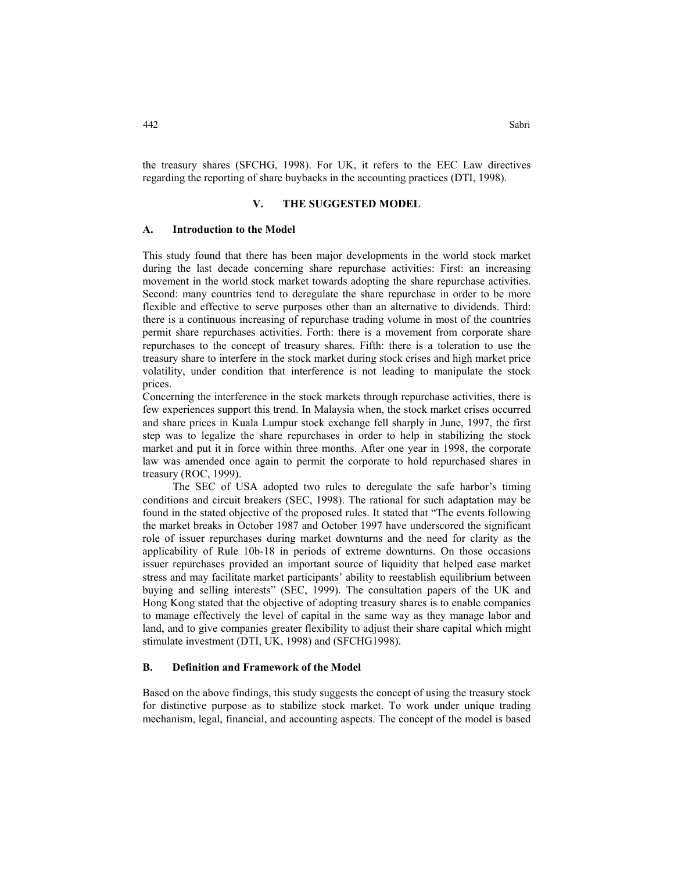the treasury shares (SFCHG, 1998). For UK, it refers to the EEC Law directives regarding the reporting of share buybacks in the accounting practices (DTI, 1998).

### **V. THE SUGGESTED MODEL**

### **A. Introduction to the Model**

This study found that there has been major developments in the world stock market during the last decade concerning share repurchase activities: First: an increasing movement in the world stock market towards adopting the share repurchase activities. Second: many countries tend to deregulate the share repurchase in order to be more flexible and effective to serve purposes other than an alternative to dividends. Third: there is a continuous increasing of repurchase trading volume in most of the countries permit share repurchases activities. Forth: there is a movement from corporate share repurchases to the concept of treasury shares. Fifth: there is a toleration to use the treasury share to interfere in the stock market during stock crises and high market price volatility, under condition that interference is not leading to manipulate the stock prices.

Concerning the interference in the stock markets through repurchase activities, there is few experiences support this trend. In Malaysia when, the stock market crises occurred and share prices in Kuala Lumpur stock exchange fell sharply in June, 1997, the first step was to legalize the share repurchases in order to help in stabilizing the stock market and put it in force within three months. After one year in 1998, the corporate law was amended once again to permit the corporate to hold repurchased shares in treasury (ROC, 1999).

 The SEC of USA adopted two rules to deregulate the safe harbor's timing conditions and circuit breakers (SEC, 1998). The rational for such adaptation may be found in the stated objective of the proposed rules. It stated that "The events following the market breaks in October 1987 and October 1997 have underscored the significant role of issuer repurchases during market downturns and the need for clarity as the applicability of Rule 10b-18 in periods of extreme downturns. On those occasions issuer repurchases provided an important source of liquidity that helped ease market stress and may facilitate market participants' ability to reestablish equilibrium between buying and selling interests" (SEC, 1999). The consultation papers of the UK and Hong Kong stated that the objective of adopting treasury shares is to enable companies to manage effectively the level of capital in the same way as they manage labor and land, and to give companies greater flexibility to adjust their share capital which might stimulate investment (DTI, UK, 1998) and (SFCHG1998).

### **B. Definition and Framework of the Model**

Based on the above findings, this study suggests the concept of using the treasury stock for distinctive purpose as to stabilize stock market. To work under unique trading mechanism, legal, financial, and accounting aspects. The concept of the model is based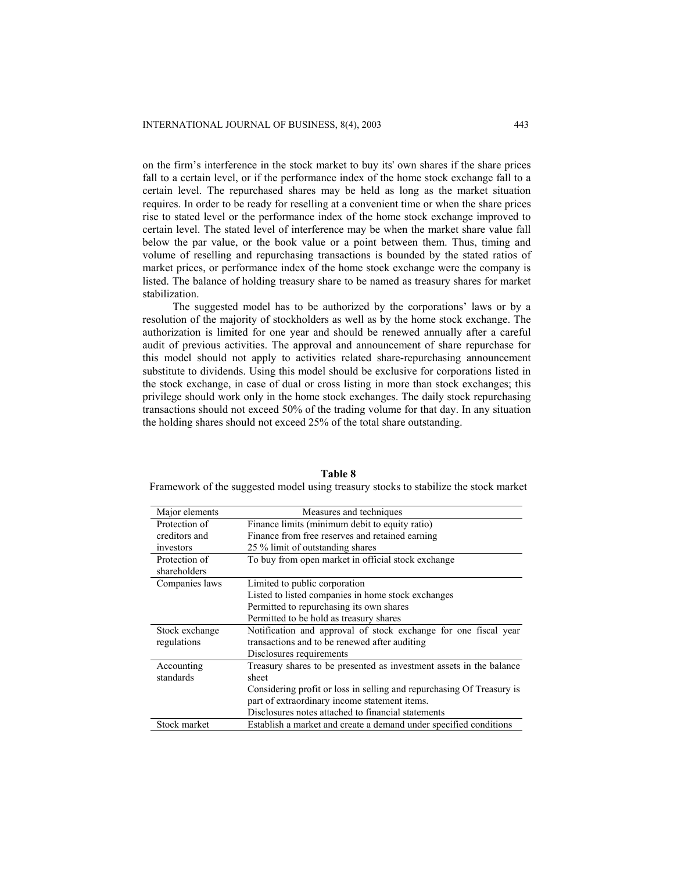on the firm's interference in the stock market to buy its' own shares if the share prices fall to a certain level, or if the performance index of the home stock exchange fall to a certain level. The repurchased shares may be held as long as the market situation requires. In order to be ready for reselling at a convenient time or when the share prices rise to stated level or the performance index of the home stock exchange improved to certain level. The stated level of interference may be when the market share value fall below the par value, or the book value or a point between them. Thus, timing and volume of reselling and repurchasing transactions is bounded by the stated ratios of market prices, or performance index of the home stock exchange were the company is listed. The balance of holding treasury share to be named as treasury shares for market stabilization.

The suggested model has to be authorized by the corporations' laws or by a resolution of the majority of stockholders as well as by the home stock exchange. The authorization is limited for one year and should be renewed annually after a careful audit of previous activities. The approval and announcement of share repurchase for this model should not apply to activities related share-repurchasing announcement substitute to dividends. Using this model should be exclusive for corporations listed in the stock exchange, in case of dual or cross listing in more than stock exchanges; this privilege should work only in the home stock exchanges. The daily stock repurchasing transactions should not exceed 50% of the trading volume for that day. In any situation the holding shares should not exceed 25% of the total share outstanding.

| Major elements | Measures and techniques                                               |
|----------------|-----------------------------------------------------------------------|
| Protection of  | Finance limits (minimum debit to equity ratio)                        |
| creditors and  | Finance from free reserves and retained earning                       |
| investors      | 25 % limit of outstanding shares                                      |
| Protection of  | To buy from open market in official stock exchange                    |
| shareholders   |                                                                       |
| Companies laws | Limited to public corporation                                         |
|                | Listed to listed companies in home stock exchanges                    |
|                | Permitted to repurchasing its own shares                              |
|                | Permitted to be hold as treasury shares                               |
| Stock exchange | Notification and approval of stock exchange for one fiscal year       |
| regulations    | transactions and to be renewed after auditing                         |
|                | Disclosures requirements                                              |
| Accounting     | Treasury shares to be presented as investment assets in the balance   |
| standards      | sheet                                                                 |
|                | Considering profit or loss in selling and repurchasing Of Treasury is |
|                | part of extraordinary income statement items.                         |
|                | Disclosures notes attached to financial statements                    |
| Stock market   | Establish a market and create a demand under specified conditions     |

**Table 8**

Framework of the suggested model using treasury stocks to stabilize the stock market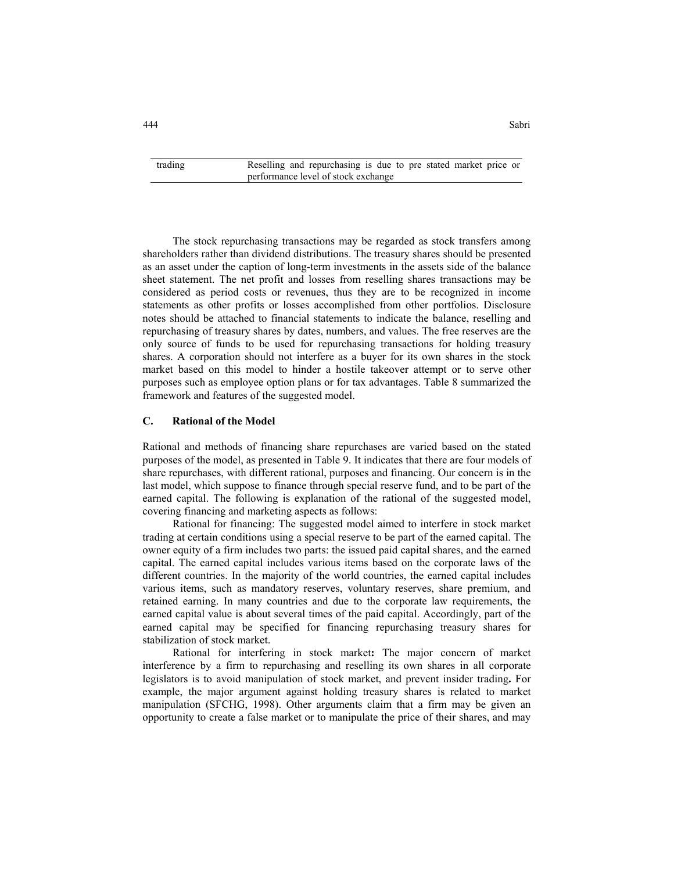trading Reselling and repurchasing is due to pre stated market price or performance level of stock exchange

 The stock repurchasing transactions may be regarded as stock transfers among shareholders rather than dividend distributions. The treasury shares should be presented as an asset under the caption of long-term investments in the assets side of the balance sheet statement. The net profit and losses from reselling shares transactions may be considered as period costs or revenues, thus they are to be recognized in income statements as other profits or losses accomplished from other portfolios. Disclosure notes should be attached to financial statements to indicate the balance, reselling and repurchasing of treasury shares by dates, numbers, and values. The free reserves are the only source of funds to be used for repurchasing transactions for holding treasury shares. A corporation should not interfere as a buyer for its own shares in the stock market based on this model to hinder a hostile takeover attempt or to serve other purposes such as employee option plans or for tax advantages. Table 8 summarized the framework and features of the suggested model.

#### **C. Rational of the Model**

Rational and methods of financing share repurchases are varied based on the stated purposes of the model, as presented in Table 9. It indicates that there are four models of share repurchases, with different rational, purposes and financing. Our concern is in the last model, which suppose to finance through special reserve fund, and to be part of the earned capital. The following is explanation of the rational of the suggested model, covering financing and marketing aspects as follows:

 Rational for financing: The suggested model aimed to interfere in stock market trading at certain conditions using a special reserve to be part of the earned capital. The owner equity of a firm includes two parts: the issued paid capital shares, and the earned capital. The earned capital includes various items based on the corporate laws of the different countries. In the majority of the world countries, the earned capital includes various items, such as mandatory reserves, voluntary reserves, share premium, and retained earning. In many countries and due to the corporate law requirements, the earned capital value is about several times of the paid capital. Accordingly, part of the earned capital may be specified for financing repurchasing treasury shares for stabilization of stock market.

 Rational for interfering in stock market**:** The major concern of market interference by a firm to repurchasing and reselling its own shares in all corporate legislators is to avoid manipulation of stock market, and prevent insider trading**.** For example, the major argument against holding treasury shares is related to market manipulation (SFCHG, 1998). Other arguments claim that a firm may be given an opportunity to create a false market or to manipulate the price of their shares, and may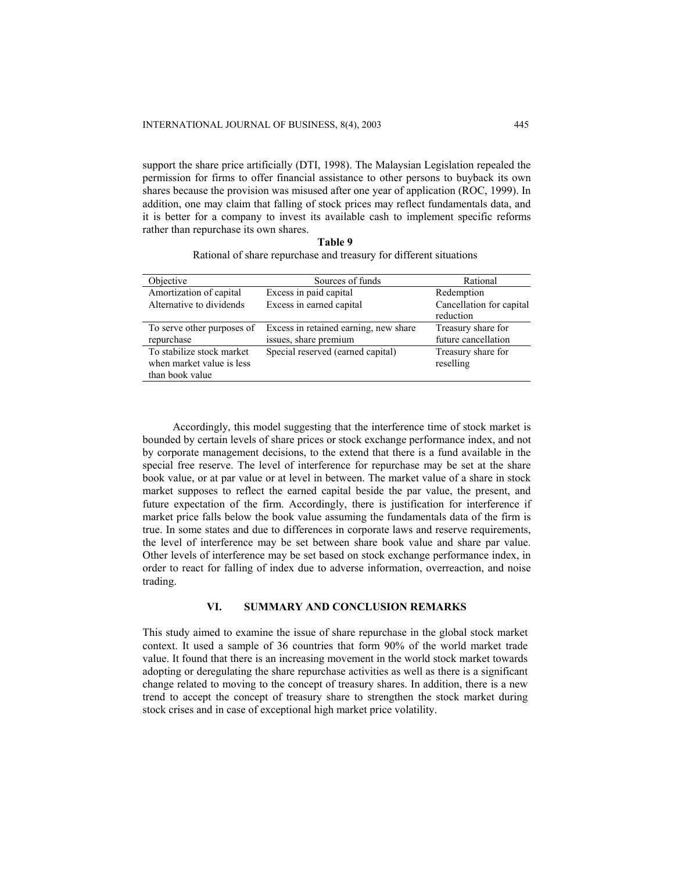support the share price artificially (DTI, 1998). The Malaysian Legislation repealed the permission for firms to offer financial assistance to other persons to buyback its own shares because the provision was misused after one year of application (ROC, 1999). In addition, one may claim that falling of stock prices may reflect fundamentals data, and it is better for a company to invest its available cash to implement specific reforms rather than repurchase its own shares.

| Objective                  | Sources of funds                      | Rational                 |
|----------------------------|---------------------------------------|--------------------------|
| Amortization of capital    | Excess in paid capital                | Redemption               |
| Alternative to dividends   | Excess in earned capital              | Cancellation for capital |
|                            |                                       | reduction                |
| To serve other purposes of | Excess in retained earning, new share | Treasury share for       |
| repurchase                 | issues, share premium                 | future cancellation      |
| To stabilize stock market  | Special reserved (earned capital)     | Treasury share for       |
| when market value is less  |                                       | reselling                |
| than book value            |                                       |                          |

**Table 9** Rational of share repurchase and treasury for different situations

Accordingly, this model suggesting that the interference time of stock market is bounded by certain levels of share prices or stock exchange performance index, and not by corporate management decisions, to the extend that there is a fund available in the special free reserve. The level of interference for repurchase may be set at the share book value, or at par value or at level in between. The market value of a share in stock market supposes to reflect the earned capital beside the par value, the present, and future expectation of the firm. Accordingly, there is justification for interference if market price falls below the book value assuming the fundamentals data of the firm is true. In some states and due to differences in corporate laws and reserve requirements, the level of interference may be set between share book value and share par value. Other levels of interference may be set based on stock exchange performance index, in order to react for falling of index due to adverse information, overreaction, and noise trading.

## **VI. SUMMARY AND CONCLUSION REMARKS**

This study aimed to examine the issue of share repurchase in the global stock market context. It used a sample of 36 countries that form 90% of the world market trade value. It found that there is an increasing movement in the world stock market towards adopting or deregulating the share repurchase activities as well as there is a significant change related to moving to the concept of treasury shares. In addition, there is a new trend to accept the concept of treasury share to strengthen the stock market during stock crises and in case of exceptional high market price volatility.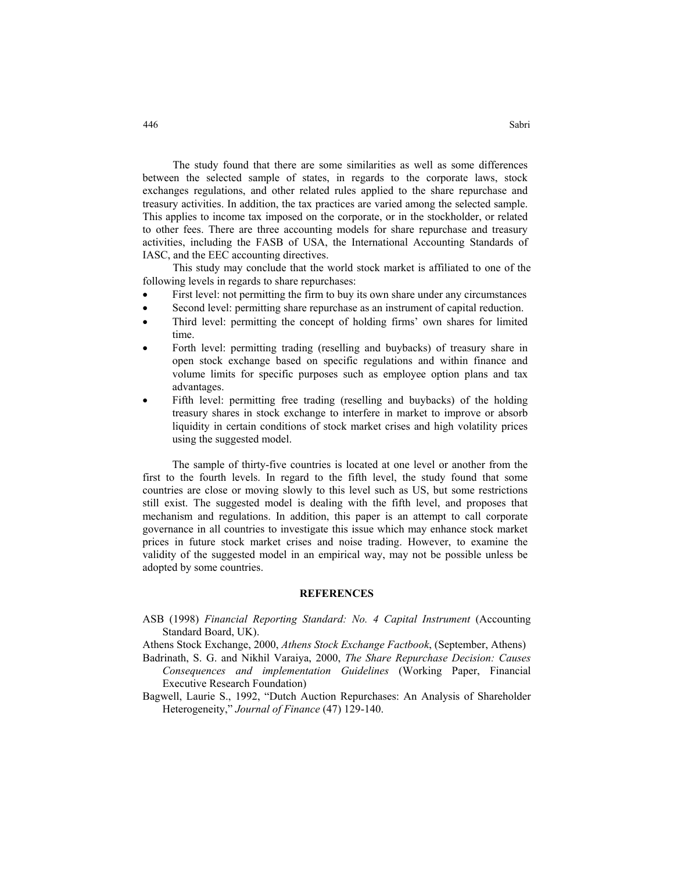The study found that there are some similarities as well as some differences between the selected sample of states, in regards to the corporate laws, stock exchanges regulations, and other related rules applied to the share repurchase and treasury activities. In addition, the tax practices are varied among the selected sample. This applies to income tax imposed on the corporate, or in the stockholder, or related to other fees. There are three accounting models for share repurchase and treasury activities, including the FASB of USA, the International Accounting Standards of IASC, and the EEC accounting directives.

 This study may conclude that the world stock market is affiliated to one of the following levels in regards to share repurchases:

- First level: not permitting the firm to buy its own share under any circumstances
- Second level: permitting share repurchase as an instrument of capital reduction.
- Third level: permitting the concept of holding firms' own shares for limited time.
- Forth level: permitting trading (reselling and buybacks) of treasury share in open stock exchange based on specific regulations and within finance and volume limits for specific purposes such as employee option plans and tax advantages.
- Fifth level: permitting free trading (reselling and buybacks) of the holding treasury shares in stock exchange to interfere in market to improve or absorb liquidity in certain conditions of stock market crises and high volatility prices using the suggested model.

 The sample of thirty-five countries is located at one level or another from the first to the fourth levels. In regard to the fifth level, the study found that some countries are close or moving slowly to this level such as US, but some restrictions still exist. The suggested model is dealing with the fifth level, and proposes that mechanism and regulations. In addition, this paper is an attempt to call corporate governance in all countries to investigate this issue which may enhance stock market prices in future stock market crises and noise trading. However, to examine the validity of the suggested model in an empirical way, may not be possible unless be adopted by some countries.

## **REFERENCES**

- ASB (1998) *Financial Reporting Standard: No. 4 Capital Instrument* (Accounting Standard Board, UK).
- Athens Stock Exchange, 2000, *Athens Stock Exchange Factbook*, (September, Athens)
- Badrinath, S. G. and Nikhil Varaiya, 2000, *The Share Repurchase Decision: Causes Consequences and implementation Guidelines* (Working Paper, Financial Executive Research Foundation)
- Bagwell, Laurie S., 1992, "Dutch Auction Repurchases: An Analysis of Shareholder Heterogeneity," *Journal of Finance* (47) 129-140.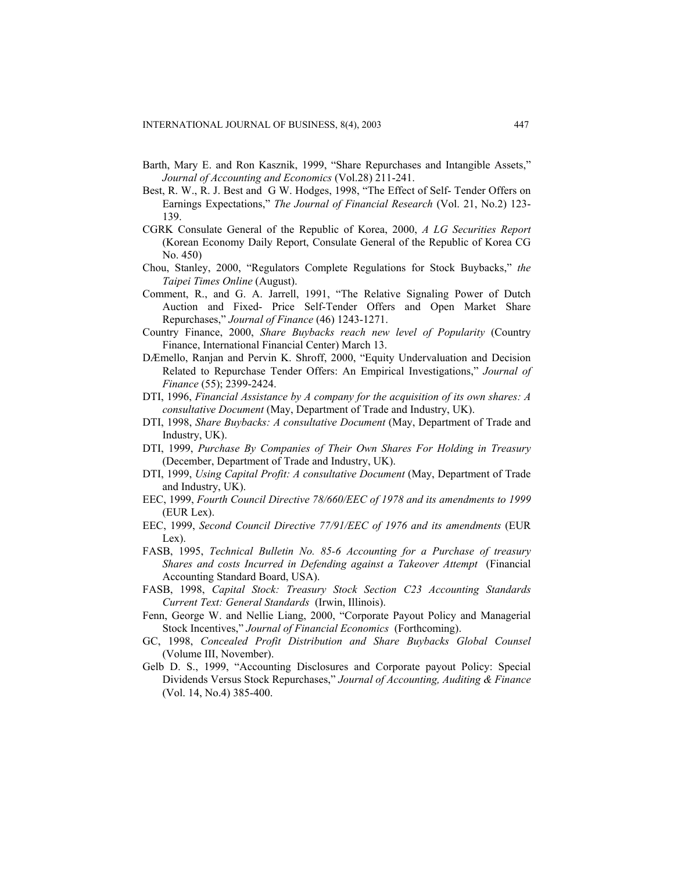- Barth, Mary E. and Ron Kasznik, 1999, "Share Repurchases and Intangible Assets," *Journal of Accounting and Economics* (Vol.28) 211-241.
- Best, R. W., R. J. Best and G W. Hodges, 1998, "The Effect of Self- Tender Offers on Earnings Expectations," *The Journal of Financial Research* (Vol. 21, No.2) 123- 139.
- CGRK Consulate General of the Republic of Korea, 2000, *A LG Securities Report* (Korean Economy Daily Report, Consulate General of the Republic of Korea CG No. 450)
- Chou, Stanley, 2000, "Regulators Complete Regulations for Stock Buybacks," *the Taipei Times Online* (August).
- Comment, R., and G. A. Jarrell, 1991, "The Relative Signaling Power of Dutch Auction and Fixed- Price Self-Tender Offers and Open Market Share Repurchases," *Journal of Finance* (46) 1243-1271.
- Country Finance, 2000, *Share Buybacks reach new level of Popularity* (Country Finance, International Financial Center) March 13.
- DÆmello, Ranjan and Pervin K. Shroff, 2000, "Equity Undervaluation and Decision Related to Repurchase Tender Offers: An Empirical Investigations," *Journal of Finance* (55); 2399-2424.
- DTI, 1996, *Financial Assistance by A company for the acquisition of its own shares: A consultative Document* (May, Department of Trade and Industry, UK).
- DTI, 1998, *Share Buybacks: A consultative Document* (May, Department of Trade and Industry, UK).
- DTI, 1999, *Purchase By Companies of Their Own Shares For Holding in Treasury* (December, Department of Trade and Industry, UK).
- DTI, 1999, *Using Capital Profit: A consultative Document* (May, Department of Trade and Industry, UK).
- EEC, 1999, *Fourth Council Directive 78/660/EEC of 1978 and its amendments to 1999* (EUR Lex).
- EEC, 1999, *Second Council Directive 77/91/EEC of 1976 and its amendments* (EUR Lex).
- FASB, 1995, *Technical Bulletin No. 85-6 Accounting for a Purchase of treasury Shares and costs Incurred in Defending against a Takeover Attempt* (Financial Accounting Standard Board, USA).
- FASB, 1998, *Capital Stock: Treasury Stock Section C23 Accounting Standards Current Text: General Standards* (Irwin, Illinois).
- Fenn, George W. and Nellie Liang, 2000, "Corporate Payout Policy and Managerial Stock Incentives," *Journal of Financial Economics* (Forthcoming).
- GC, 1998, *Concealed Profit Distribution and Share Buybacks Global Counsel* (Volume III, November).
- Gelb D. S., 1999, "Accounting Disclosures and Corporate payout Policy: Special Dividends Versus Stock Repurchases," *Journal of Accounting, Auditing & Finance* (Vol. 14, No.4) 385-400.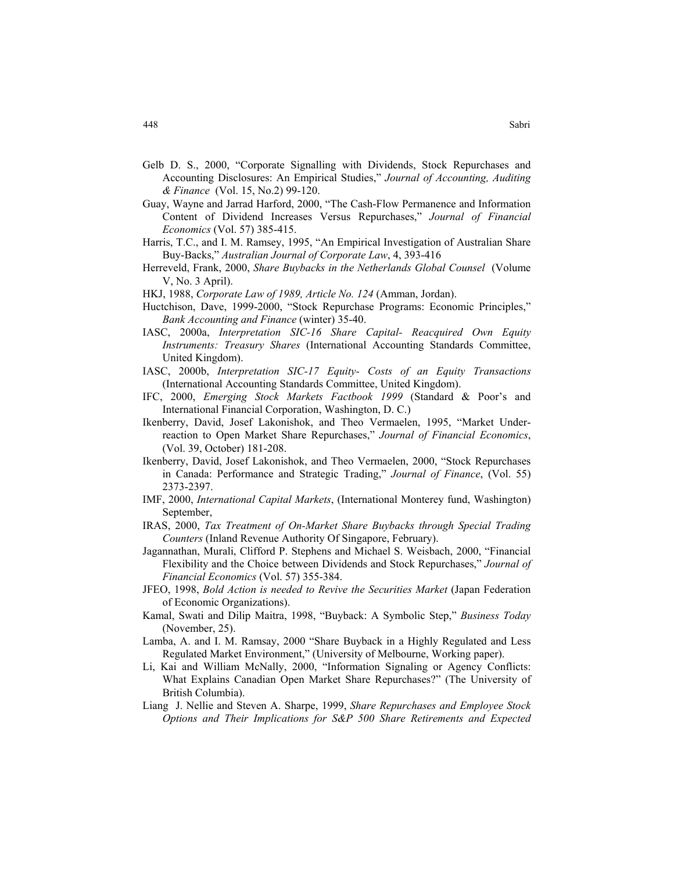- Gelb D. S., 2000, "Corporate Signalling with Dividends, Stock Repurchases and Accounting Disclosures: An Empirical Studies," *Journal of Accounting, Auditing & Finance* (Vol. 15, No.2) 99-120.
- Guay, Wayne and Jarrad Harford, 2000, "The Cash-Flow Permanence and Information Content of Dividend Increases Versus Repurchases," *Journal of Financial Economics* (Vol. 57) 385-415.
- Harris, T.C., and I. M. Ramsey, 1995, "An Empirical Investigation of Australian Share Buy-Backs," *Australian Journal of Corporate Law*, 4, 393-416
- Herreveld, Frank, 2000, *Share Buybacks in the Netherlands Global Counsel* (Volume V, No. 3 April).
- HKJ, 1988, *Corporate Law of 1989, Article No. 124* (Amman, Jordan).
- Huctchison, Dave, 1999-2000, "Stock Repurchase Programs: Economic Principles," *Bank Accounting and Finance* (winter) 35-40.
- IASC, 2000a, *Interpretation SIC-16 Share Capital- Reacquired Own Equity Instruments: Treasury Shares* (International Accounting Standards Committee, United Kingdom).
- IASC, 2000b, *Interpretation SIC-17 Equity- Costs of an Equity Transactions* (International Accounting Standards Committee, United Kingdom).
- IFC, 2000, *Emerging Stock Markets Factbook 1999* (Standard & Poor's and International Financial Corporation, Washington, D. C.)
- Ikenberry, David, Josef Lakonishok, and Theo Vermaelen, 1995, "Market Underreaction to Open Market Share Repurchases," *Journal of Financial Economics*, (Vol. 39, October) 181-208.
- Ikenberry, David, Josef Lakonishok, and Theo Vermaelen, 2000, "Stock Repurchases in Canada: Performance and Strategic Trading," *Journal of Finance*, (Vol. 55) 2373-2397.
- IMF, 2000, *International Capital Markets*, (International Monterey fund, Washington) September,
- IRAS, 2000, *Tax Treatment of On-Market Share Buybacks through Special Trading Counters* (Inland Revenue Authority Of Singapore, February).
- Jagannathan, Murali, Clifford P. Stephens and Michael S. Weisbach, 2000, "Financial Flexibility and the Choice between Dividends and Stock Repurchases," *Journal of Financial Economics* (Vol. 57) 355-384.
- JFEO, 1998, *Bold Action is needed to Revive the Securities Market* (Japan Federation of Economic Organizations).
- Kamal, Swati and Dilip Maitra, 1998, "Buyback: A Symbolic Step," *Business Today* (November, 25).
- Lamba, A. and I. M. Ramsay, 2000 "Share Buyback in a Highly Regulated and Less Regulated Market Environment," (University of Melbourne, Working paper).
- Li, Kai and William McNally, 2000, "Information Signaling or Agency Conflicts: What Explains Canadian Open Market Share Repurchases?" (The University of British Columbia).
- Liang J. Nellie and Steven A. Sharpe, 1999, *Share Repurchases and Employee Stock Options and Their Implications for S&P 500 Share Retirements and Expected*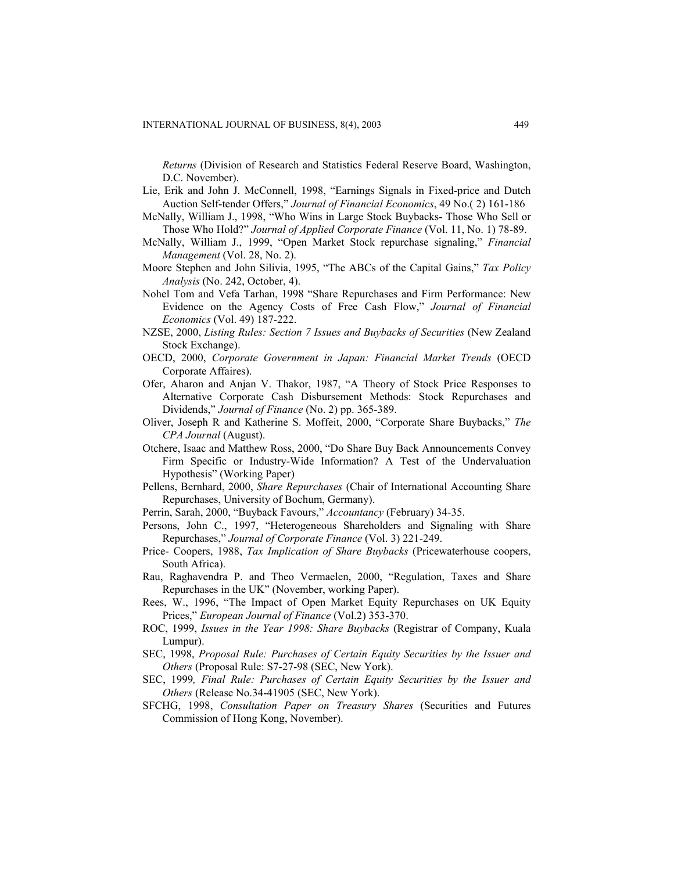*Returns* (Division of Research and Statistics Federal Reserve Board, Washington, D.C. November).

- Lie, Erik and John J. McConnell, 1998, "Earnings Signals in Fixed-price and Dutch Auction Self-tender Offers," *Journal of Financial Economics*, 49 No.( 2) 161-186
- McNally, William J., 1998, "Who Wins in Large Stock Buybacks- Those Who Sell or Those Who Hold?" *Journal of Applied Corporate Finance* (Vol. 11, No. 1) 78-89.
- McNally, William J., 1999, "Open Market Stock repurchase signaling," *Financial Management* (Vol. 28, No. 2).
- Moore Stephen and John Silivia, 1995, "The ABCs of the Capital Gains," *Tax Policy Analysis* (No. 242, October, 4).
- Nohel Tom and Vefa Tarhan, 1998 "Share Repurchases and Firm Performance: New Evidence on the Agency Costs of Free Cash Flow," *Journal of Financial Economics* (Vol. 49) 187-222.
- NZSE, 2000, *Listing Rules: Section 7 Issues and Buybacks of Securities* (New Zealand Stock Exchange).
- OECD, 2000, *Corporate Government in Japan: Financial Market Trends* (OECD Corporate Affaires).
- Ofer, Aharon and Anjan V. Thakor, 1987, "A Theory of Stock Price Responses to Alternative Corporate Cash Disbursement Methods: Stock Repurchases and Dividends," *Journal of Finance* (No. 2) pp. 365-389.
- Oliver, Joseph R and Katherine S. Moffeit, 2000, "Corporate Share Buybacks," *The CPA Journal* (August).
- Otchere, Isaac and Matthew Ross, 2000, "Do Share Buy Back Announcements Convey Firm Specific or Industry-Wide Information? A Test of the Undervaluation Hypothesis" (Working Paper)
- Pellens, Bernhard, 2000, *Share Repurchases* (Chair of International Accounting Share Repurchases, University of Bochum, Germany).
- Perrin, Sarah, 2000, "Buyback Favours," *Accountancy* (February) 34-35.
- Persons, John C., 1997, "Heterogeneous Shareholders and Signaling with Share Repurchases," *Journal of Corporate Finance* (Vol. 3) 221-249.
- Price- Coopers, 1988, *Tax Implication of Share Buybacks* (Pricewaterhouse coopers, South Africa).
- Rau, Raghavendra P. and Theo Vermaelen, 2000, "Regulation, Taxes and Share Repurchases in the UK" (November, working Paper).
- Rees, W., 1996, "The Impact of Open Market Equity Repurchases on UK Equity Prices," *European Journal of Finance* (Vol.2) 353-370.
- ROC, 1999, *Issues in the Year 1998: Share Buybacks* (Registrar of Company, Kuala Lumpur).
- SEC, 1998, *Proposal Rule: Purchases of Certain Equity Securities by the Issuer and Others* (Proposal Rule: S7-27-98 (SEC, New York).
- SEC, 1999*, Final Rule: Purchases of Certain Equity Securities by the Issuer and Others* (Release No.34-41905 (SEC, New York).
- SFCHG, 1998, *Consultation Paper on Treasury Shares* (Securities and Futures Commission of Hong Kong, November).